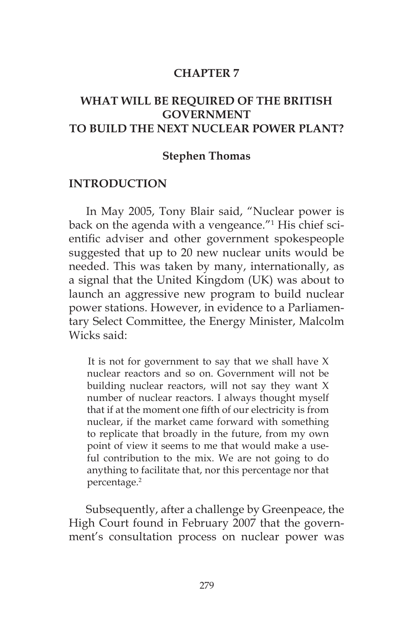#### **CHAPTER 7**

## **WHAT WILL BE REQUIRED OF THE BRITISH GOVERNMENT TO BUILD THE NEXT NUCLEAR POWER PLANT?**

#### **Stephen Thomas**

#### **INTRODUCTION**

In May 2005, Tony Blair said, "Nuclear power is back on the agenda with a vengeance."1 His chief scientific adviser and other government spokespeople suggested that up to 20 new nuclear units would be needed. This was taken by many, internationally, as a signal that the United Kingdom (UK) was about to launch an aggressive new program to build nuclear power stations. However, in evidence to a Parliamentary Select Committee, the Energy Minister, Malcolm Wicks said:

It is not for government to say that we shall have X nuclear reactors and so on. Government will not be building nuclear reactors, will not say they want X number of nuclear reactors. I always thought myself that if at the moment one fifth of our electricity is from nuclear, if the market came forward with something to replicate that broadly in the future, from my own point of view it seems to me that would make a useful contribution to the mix. We are not going to do anything to facilitate that, nor this percentage nor that percentage.2

Subsequently, after a challenge by Greenpeace, the High Court found in February 2007 that the government's consultation process on nuclear power was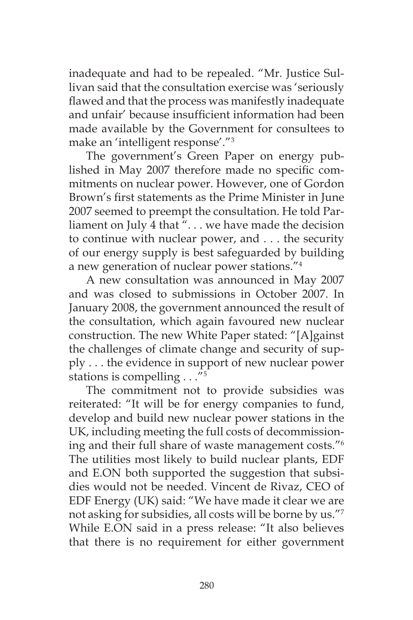inadequate and had to be repealed. "Mr. Justice Sullivan said that the consultation exercise was 'seriously flawed and that the process was manifestly inadequate and unfair' because insufficient information had been made available by the Government for consultees to make an 'intelligent response'."3

The government's Green Paper on energy published in May 2007 therefore made no specific commitments on nuclear power. However, one of Gordon Brown's first statements as the Prime Minister in June 2007 seemed to preempt the consultation. He told Parliament on July 4 that ". . . we have made the decision to continue with nuclear power, and . . . the security of our energy supply is best safeguarded by building a new generation of nuclear power stations."4

A new consultation was announced in May 2007 and was closed to submissions in October 2007. In January 2008, the government announced the result of the consultation, which again favoured new nuclear construction. The new White Paper stated: "[A]gainst the challenges of climate change and security of supply . . . the evidence in support of new nuclear power stations is compelling . . ."5

The commitment not to provide subsidies was reiterated: "It will be for energy companies to fund, develop and build new nuclear power stations in the UK, including meeting the full costs of decommissioning and their full share of waste management costs."6 The utilities most likely to build nuclear plants, EDF and E.ON both supported the suggestion that subsidies would not be needed. Vincent de Rivaz, CEO of EDF Energy (UK) said: "We have made it clear we are not asking for subsidies, all costs will be borne by us."7 While E.ON said in a press release: "It also believes that there is no requirement for either government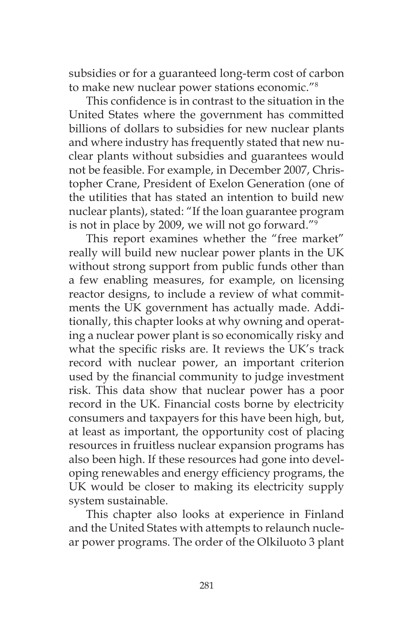subsidies or for a guaranteed long-term cost of carbon to make new nuclear power stations economic."8

This confidence is in contrast to the situation in the United States where the government has committed billions of dollars to subsidies for new nuclear plants and where industry has frequently stated that new nuclear plants without subsidies and guarantees would not be feasible. For example, in December 2007, Christopher Crane, President of Exelon Generation (one of the utilities that has stated an intention to build new nuclear plants), stated: "If the loan guarantee program is not in place by 2009, we will not go forward."9

This report examines whether the "free market" really will build new nuclear power plants in the UK without strong support from public funds other than a few enabling measures, for example, on licensing reactor designs, to include a review of what commitments the UK government has actually made. Additionally, this chapter looks at why owning and operating a nuclear power plant is so economically risky and what the specific risks are. It reviews the UK's track record with nuclear power, an important criterion used by the financial community to judge investment risk. This data show that nuclear power has a poor record in the UK. Financial costs borne by electricity consumers and taxpayers for this have been high, but, at least as important, the opportunity cost of placing resources in fruitless nuclear expansion programs has also been high. If these resources had gone into developing renewables and energy efficiency programs, the UK would be closer to making its electricity supply system sustainable.

This chapter also looks at experience in Finland and the United States with attempts to relaunch nuclear power programs. The order of the Olkiluoto 3 plant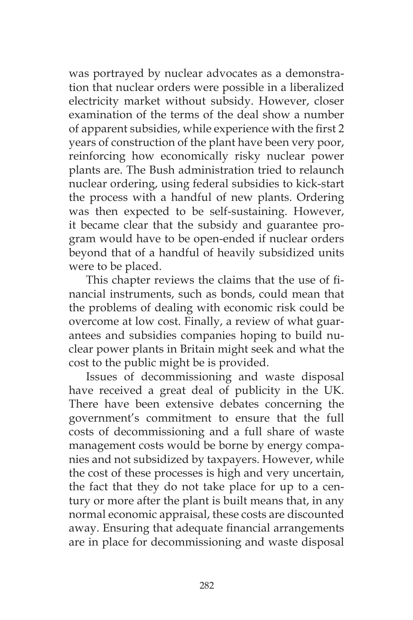was portrayed by nuclear advocates as a demonstration that nuclear orders were possible in a liberalized electricity market without subsidy. However, closer examination of the terms of the deal show a number of apparent subsidies, while experience with the first 2 years of construction of the plant have been very poor, reinforcing how economically risky nuclear power plants are. The Bush administration tried to relaunch nuclear ordering, using federal subsidies to kick-start the process with a handful of new plants. Ordering was then expected to be self-sustaining. However, it became clear that the subsidy and guarantee program would have to be open-ended if nuclear orders beyond that of a handful of heavily subsidized units were to be placed.

This chapter reviews the claims that the use of financial instruments, such as bonds, could mean that the problems of dealing with economic risk could be overcome at low cost. Finally, a review of what guarantees and subsidies companies hoping to build nuclear power plants in Britain might seek and what the cost to the public might be is provided.

Issues of decommissioning and waste disposal have received a great deal of publicity in the UK. There have been extensive debates concerning the government's commitment to ensure that the full costs of decommissioning and a full share of waste management costs would be borne by energy companies and not subsidized by taxpayers. However, while the cost of these processes is high and very uncertain, the fact that they do not take place for up to a century or more after the plant is built means that, in any normal economic appraisal, these costs are discounted away. Ensuring that adequate financial arrangements are in place for decommissioning and waste disposal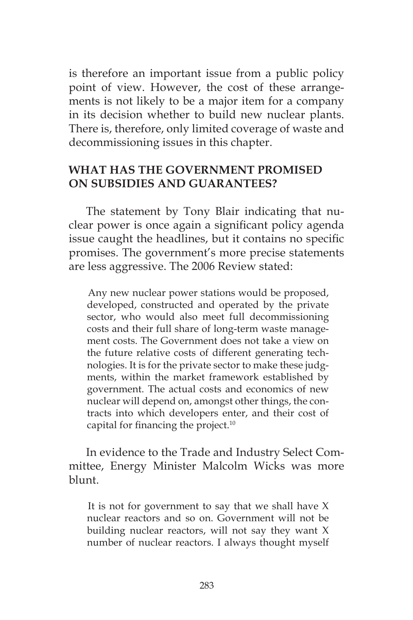is therefore an important issue from a public policy point of view. However, the cost of these arrangements is not likely to be a major item for a company in its decision whether to build new nuclear plants. There is, therefore, only limited coverage of waste and decommissioning issues in this chapter.

## **WHAT HAS THE GOVERNMENT PROMISED ON SUBSIDIES AND GUARANTEES?**

The statement by Tony Blair indicating that nuclear power is once again a significant policy agenda issue caught the headlines, but it contains no specific promises. The government's more precise statements are less aggressive. The 2006 Review stated:

Any new nuclear power stations would be proposed, developed, constructed and operated by the private sector, who would also meet full decommissioning costs and their full share of long-term waste management costs. The Government does not take a view on the future relative costs of different generating technologies. It is for the private sector to make these judgments, within the market framework established by government. The actual costs and economics of new nuclear will depend on, amongst other things, the contracts into which developers enter, and their cost of capital for financing the project.<sup>10</sup>

In evidence to the Trade and Industry Select Committee, Energy Minister Malcolm Wicks was more blunt.

It is not for government to say that we shall have X nuclear reactors and so on. Government will not be building nuclear reactors, will not say they want X number of nuclear reactors. I always thought myself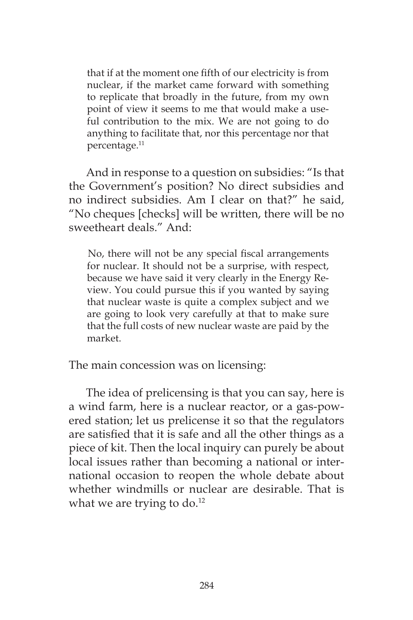that if at the moment one fifth of our electricity is from nuclear, if the market came forward with something to replicate that broadly in the future, from my own point of view it seems to me that would make a useful contribution to the mix. We are not going to do anything to facilitate that, nor this percentage nor that percentage.<sup>11</sup>

And in response to a question on subsidies: "Is that the Government's position? No direct subsidies and no indirect subsidies. Am I clear on that?" he said, "No cheques [checks] will be written, there will be no sweetheart deals." And:

No, there will not be any special fiscal arrangements for nuclear. It should not be a surprise, with respect, because we have said it very clearly in the Energy Review. You could pursue this if you wanted by saying that nuclear waste is quite a complex subject and we are going to look very carefully at that to make sure that the full costs of new nuclear waste are paid by the market.

The main concession was on licensing:

The idea of prelicensing is that you can say, here is a wind farm, here is a nuclear reactor, or a gas-powered station; let us prelicense it so that the regulators are satisfied that it is safe and all the other things as a piece of kit. Then the local inquiry can purely be about local issues rather than becoming a national or international occasion to reopen the whole debate about whether windmills or nuclear are desirable. That is what we are trying to do.<sup>12</sup>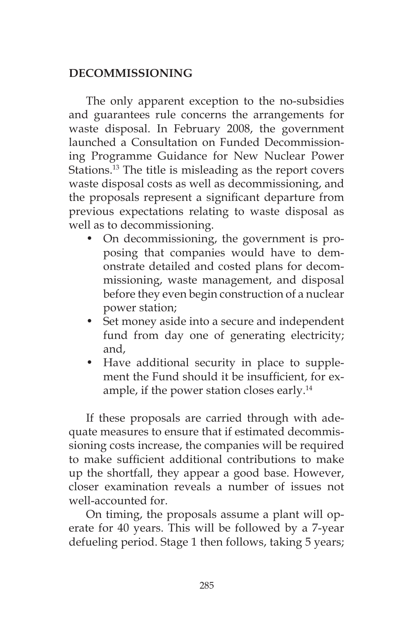# **DECOMMISSIONING**

The only apparent exception to the no-subsidies and guarantees rule concerns the arrangements for waste disposal. In February 2008, the government launched a Consultation on Funded Decommissioning Programme Guidance for New Nuclear Power Stations.13 The title is misleading as the report covers waste disposal costs as well as decommissioning, and the proposals represent a significant departure from previous expectations relating to waste disposal as well as to decommissioning.

- On decommissioning, the government is proposing that companies would have to demonstrate detailed and costed plans for decommissioning, waste management, and disposal before they even begin construction of a nuclear power station;
- Set money aside into a secure and independent fund from day one of generating electricity; and,
- Have additional security in place to supplement the Fund should it be insufficient, for example, if the power station closes early.<sup>14</sup>

If these proposals are carried through with adequate measures to ensure that if estimated decommissioning costs increase, the companies will be required to make sufficient additional contributions to make up the shortfall, they appear a good base. However, closer examination reveals a number of issues not well-accounted for.

On timing, the proposals assume a plant will operate for 40 years. This will be followed by a 7-year defueling period. Stage 1 then follows, taking 5 years;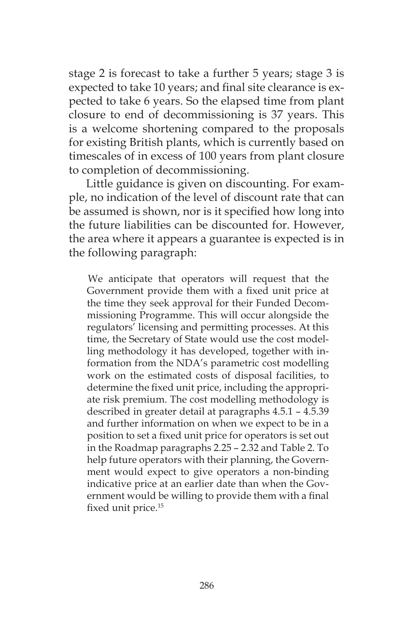stage 2 is forecast to take a further 5 years; stage 3 is expected to take 10 years; and final site clearance is expected to take 6 years. So the elapsed time from plant closure to end of decommissioning is 37 years. This is a welcome shortening compared to the proposals for existing British plants, which is currently based on timescales of in excess of 100 years from plant closure to completion of decommissioning.

Little guidance is given on discounting. For example, no indication of the level of discount rate that can be assumed is shown, nor is it specified how long into the future liabilities can be discounted for. However, the area where it appears a guarantee is expected is in the following paragraph:

We anticipate that operators will request that the Government provide them with a fixed unit price at the time they seek approval for their Funded Decommissioning Programme. This will occur alongside the regulators' licensing and permitting processes. At this time, the Secretary of State would use the cost modelling methodology it has developed, together with information from the NDA's parametric cost modelling work on the estimated costs of disposal facilities, to determine the fixed unit price, including the appropriate risk premium. The cost modelling methodology is described in greater detail at paragraphs 4.5.1 – 4.5.39 and further information on when we expect to be in a position to set a fixed unit price for operators is set out in the Roadmap paragraphs 2.25 – 2.32 and Table 2. To help future operators with their planning, the Government would expect to give operators a non-binding indicative price at an earlier date than when the Government would be willing to provide them with a final fixed unit price.<sup>15</sup>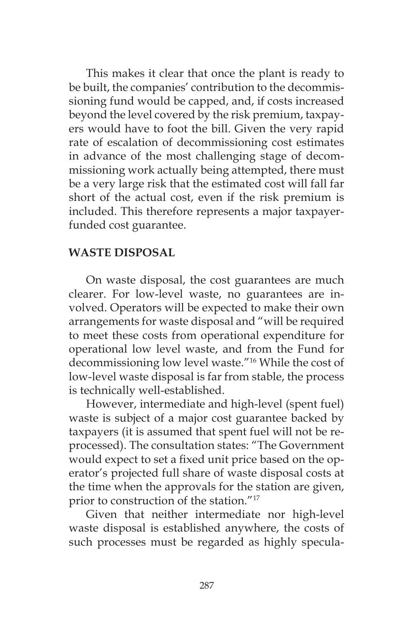This makes it clear that once the plant is ready to be built, the companies' contribution to the decommissioning fund would be capped, and, if costs increased beyond the level covered by the risk premium, taxpayers would have to foot the bill. Given the very rapid rate of escalation of decommissioning cost estimates in advance of the most challenging stage of decommissioning work actually being attempted, there must be a very large risk that the estimated cost will fall far short of the actual cost, even if the risk premium is included. This therefore represents a major taxpayerfunded cost guarantee.

## **WASTE DISPOSAL**

On waste disposal, the cost guarantees are much clearer. For low-level waste, no guarantees are involved. Operators will be expected to make their own arrangements for waste disposal and "will be required to meet these costs from operational expenditure for operational low level waste, and from the Fund for decommissioning low level waste."16 While the cost of low-level waste disposal is far from stable, the process is technically well-established.

However, intermediate and high-level (spent fuel) waste is subject of a major cost guarantee backed by taxpayers (it is assumed that spent fuel will not be reprocessed). The consultation states: "The Government would expect to set a fixed unit price based on the operator's projected full share of waste disposal costs at the time when the approvals for the station are given, prior to construction of the station."17

Given that neither intermediate nor high-level waste disposal is established anywhere, the costs of such processes must be regarded as highly specula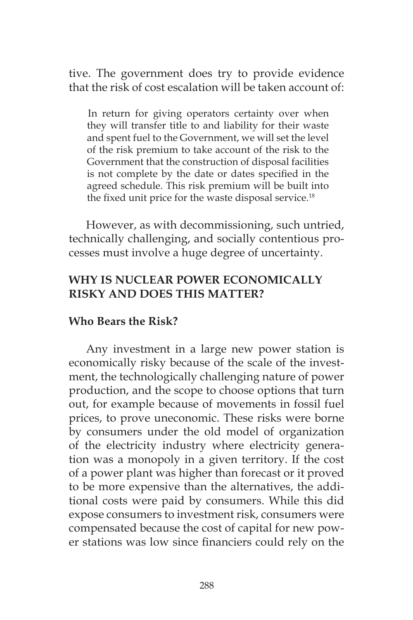tive. The government does try to provide evidence that the risk of cost escalation will be taken account of:

In return for giving operators certainty over when they will transfer title to and liability for their waste and spent fuel to the Government, we will set the level of the risk premium to take account of the risk to the Government that the construction of disposal facilities is not complete by the date or dates specified in the agreed schedule. This risk premium will be built into the fixed unit price for the waste disposal service.<sup>18</sup>

However, as with decommissioning, such untried, technically challenging, and socially contentious processes must involve a huge degree of uncertainty.

# **WHY IS NUCLEAR POWER ECONOMICALLY RISKY AND DOES THIS MATTER?**

## **Who Bears the Risk?**

Any investment in a large new power station is economically risky because of the scale of the investment, the technologically challenging nature of power production, and the scope to choose options that turn out, for example because of movements in fossil fuel prices, to prove uneconomic. These risks were borne by consumers under the old model of organization of the electricity industry where electricity generation was a monopoly in a given territory. If the cost of a power plant was higher than forecast or it proved to be more expensive than the alternatives, the additional costs were paid by consumers. While this did expose consumers to investment risk, consumers were compensated because the cost of capital for new power stations was low since financiers could rely on the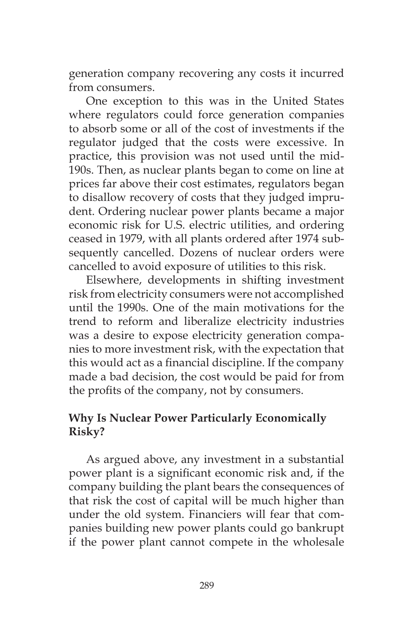generation company recovering any costs it incurred from consumers.

One exception to this was in the United States where regulators could force generation companies to absorb some or all of the cost of investments if the regulator judged that the costs were excessive. In practice, this provision was not used until the mid-190s. Then, as nuclear plants began to come on line at prices far above their cost estimates, regulators began to disallow recovery of costs that they judged imprudent. Ordering nuclear power plants became a major economic risk for U.S. electric utilities, and ordering ceased in 1979, with all plants ordered after 1974 subsequently cancelled. Dozens of nuclear orders were cancelled to avoid exposure of utilities to this risk.

Elsewhere, developments in shifting investment risk from electricity consumers were not accomplished until the 1990s. One of the main motivations for the trend to reform and liberalize electricity industries was a desire to expose electricity generation companies to more investment risk, with the expectation that this would act as a financial discipline. If the company made a bad decision, the cost would be paid for from the profits of the company, not by consumers.

# **Why Is Nuclear Power Particularly Economically Risky?**

As argued above, any investment in a substantial power plant is a significant economic risk and, if the company building the plant bears the consequences of that risk the cost of capital will be much higher than under the old system. Financiers will fear that companies building new power plants could go bankrupt if the power plant cannot compete in the wholesale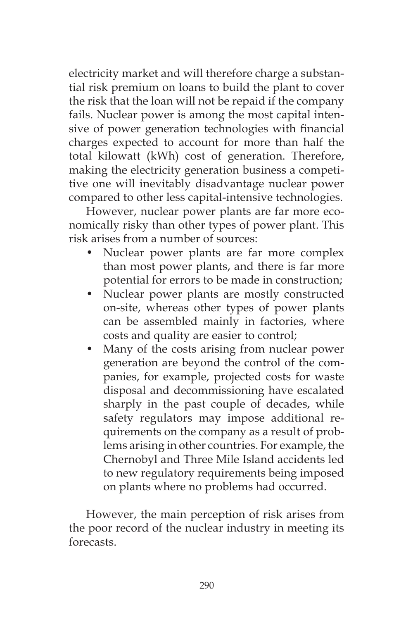electricity market and will therefore charge a substantial risk premium on loans to build the plant to cover the risk that the loan will not be repaid if the company fails. Nuclear power is among the most capital intensive of power generation technologies with financial charges expected to account for more than half the total kilowatt (kWh) cost of generation. Therefore, making the electricity generation business a competitive one will inevitably disadvantage nuclear power compared to other less capital-intensive technologies.

However, nuclear power plants are far more economically risky than other types of power plant. This risk arises from a number of sources:

- Nuclear power plants are far more complex than most power plants, and there is far more potential for errors to be made in construction;
- Nuclear power plants are mostly constructed on-site, whereas other types of power plants can be assembled mainly in factories, where costs and quality are easier to control;
- Many of the costs arising from nuclear power generation are beyond the control of the companies, for example, projected costs for waste disposal and decommissioning have escalated sharply in the past couple of decades, while safety regulators may impose additional requirements on the company as a result of problems arising in other countries. For example, the Chernobyl and Three Mile Island accidents led to new regulatory requirements being imposed on plants where no problems had occurred.

However, the main perception of risk arises from the poor record of the nuclear industry in meeting its forecasts.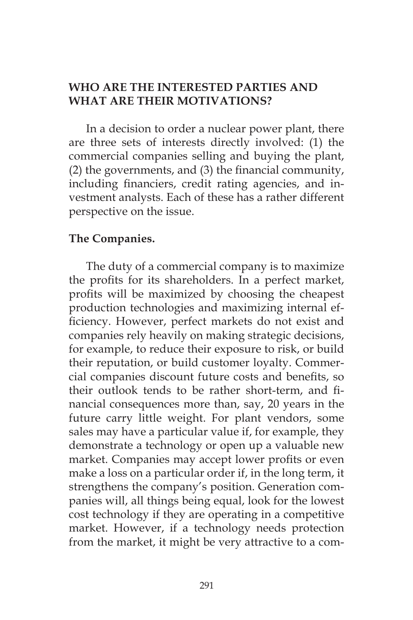## **WHO ARE THE INTERESTED PARTIES AND WHAT ARE THEIR MOTIVATIONS?**

In a decision to order a nuclear power plant, there are three sets of interests directly involved: (1) the commercial companies selling and buying the plant, (2) the governments, and (3) the financial community, including financiers, credit rating agencies, and investment analysts. Each of these has a rather different perspective on the issue.

#### **The Companies.**

The duty of a commercial company is to maximize the profits for its shareholders. In a perfect market, profits will be maximized by choosing the cheapest production technologies and maximizing internal efficiency. However, perfect markets do not exist and companies rely heavily on making strategic decisions, for example, to reduce their exposure to risk, or build their reputation, or build customer loyalty. Commercial companies discount future costs and benefits, so their outlook tends to be rather short-term, and financial consequences more than, say, 20 years in the future carry little weight. For plant vendors, some sales may have a particular value if, for example, they demonstrate a technology or open up a valuable new market. Companies may accept lower profits or even make a loss on a particular order if, in the long term, it strengthens the company's position. Generation companies will, all things being equal, look for the lowest cost technology if they are operating in a competitive market. However, if a technology needs protection from the market, it might be very attractive to a com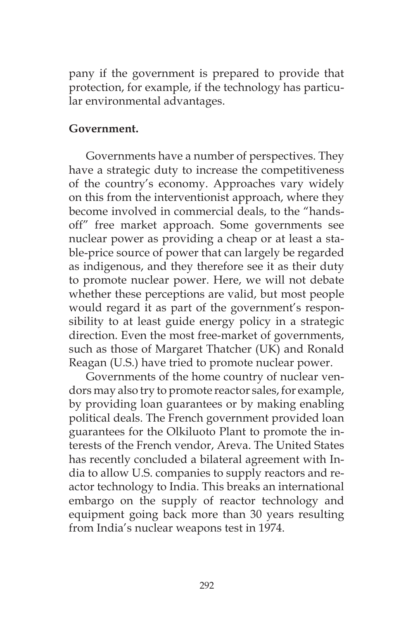pany if the government is prepared to provide that protection, for example, if the technology has particular environmental advantages.

## **Government.**

Governments have a number of perspectives. They have a strategic duty to increase the competitiveness of the country's economy. Approaches vary widely on this from the interventionist approach, where they become involved in commercial deals, to the "handsoff" free market approach. Some governments see nuclear power as providing a cheap or at least a stable-price source of power that can largely be regarded as indigenous, and they therefore see it as their duty to promote nuclear power. Here, we will not debate whether these perceptions are valid, but most people would regard it as part of the government's responsibility to at least guide energy policy in a strategic direction. Even the most free-market of governments, such as those of Margaret Thatcher (UK) and Ronald Reagan (U.S.) have tried to promote nuclear power.

Governments of the home country of nuclear vendors may also try to promote reactor sales, for example, by providing loan guarantees or by making enabling political deals. The French government provided loan guarantees for the Olkiluoto Plant to promote the interests of the French vendor, Areva. The United States has recently concluded a bilateral agreement with India to allow U.S. companies to supply reactors and reactor technology to India. This breaks an international embargo on the supply of reactor technology and equipment going back more than 30 years resulting from India's nuclear weapons test in 1974.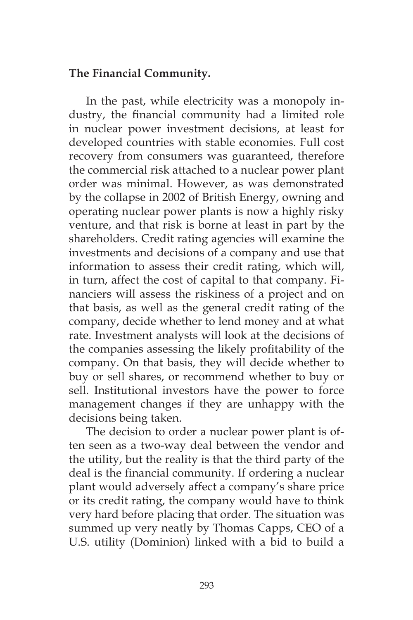## **The Financial Community.**

In the past, while electricity was a monopoly industry, the financial community had a limited role in nuclear power investment decisions, at least for developed countries with stable economies. Full cost recovery from consumers was guaranteed, therefore the commercial risk attached to a nuclear power plant order was minimal. However, as was demonstrated by the collapse in 2002 of British Energy, owning and operating nuclear power plants is now a highly risky venture, and that risk is borne at least in part by the shareholders. Credit rating agencies will examine the investments and decisions of a company and use that information to assess their credit rating, which will, in turn, affect the cost of capital to that company. Financiers will assess the riskiness of a project and on that basis, as well as the general credit rating of the company, decide whether to lend money and at what rate. Investment analysts will look at the decisions of the companies assessing the likely profitability of the company. On that basis, they will decide whether to buy or sell shares, or recommend whether to buy or sell. Institutional investors have the power to force management changes if they are unhappy with the decisions being taken.

The decision to order a nuclear power plant is often seen as a two-way deal between the vendor and the utility, but the reality is that the third party of the deal is the financial community. If ordering a nuclear plant would adversely affect a company's share price or its credit rating, the company would have to think very hard before placing that order. The situation was summed up very neatly by Thomas Capps, CEO of a U.S. utility (Dominion) linked with a bid to build a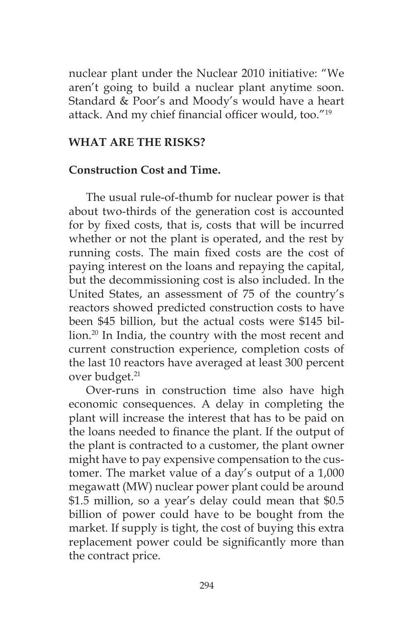nuclear plant under the Nuclear 2010 initiative: "We aren't going to build a nuclear plant anytime soon. Standard & Poor's and Moody's would have a heart attack. And my chief financial officer would, too."19

## **WHAT ARE THE RISKS?**

## **Construction Cost and Time.**

The usual rule-of-thumb for nuclear power is that about two-thirds of the generation cost is accounted for by fixed costs, that is, costs that will be incurred whether or not the plant is operated, and the rest by running costs. The main fixed costs are the cost of paying interest on the loans and repaying the capital, but the decommissioning cost is also included. In the United States, an assessment of 75 of the country's reactors showed predicted construction costs to have been \$45 billion, but the actual costs were \$145 billion.20 In India, the country with the most recent and current construction experience, completion costs of the last 10 reactors have averaged at least 300 percent over budget.<sup>21</sup>

Over-runs in construction time also have high economic consequences. A delay in completing the plant will increase the interest that has to be paid on the loans needed to finance the plant. If the output of the plant is contracted to a customer, the plant owner might have to pay expensive compensation to the customer. The market value of a day's output of a 1,000 megawatt (MW) nuclear power plant could be around \$1.5 million, so a year's delay could mean that \$0.5 billion of power could have to be bought from the market. If supply is tight, the cost of buying this extra replacement power could be significantly more than the contract price.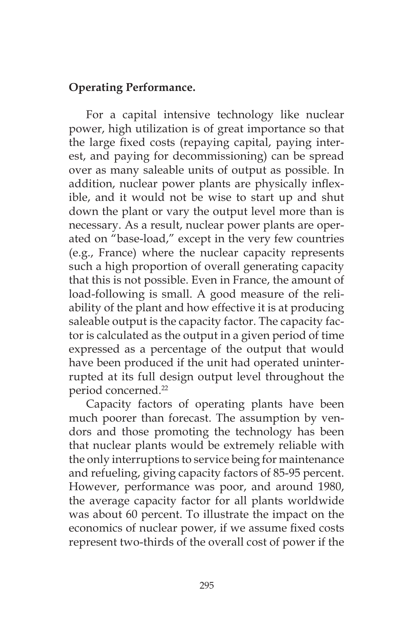## **Operating Performance.**

For a capital intensive technology like nuclear power, high utilization is of great importance so that the large fixed costs (repaying capital, paying interest, and paying for decommissioning) can be spread over as many saleable units of output as possible. In addition, nuclear power plants are physically inflexible, and it would not be wise to start up and shut down the plant or vary the output level more than is necessary. As a result, nuclear power plants are operated on "base-load," except in the very few countries (e.g., France) where the nuclear capacity represents such a high proportion of overall generating capacity that this is not possible. Even in France, the amount of load-following is small. A good measure of the reliability of the plant and how effective it is at producing saleable output is the capacity factor. The capacity factor is calculated as the output in a given period of time expressed as a percentage of the output that would have been produced if the unit had operated uninterrupted at its full design output level throughout the period concerned.22

Capacity factors of operating plants have been much poorer than forecast. The assumption by vendors and those promoting the technology has been that nuclear plants would be extremely reliable with the only interruptions to service being for maintenance and refueling, giving capacity factors of 85-95 percent. However, performance was poor, and around 1980, the average capacity factor for all plants worldwide was about 60 percent. To illustrate the impact on the economics of nuclear power, if we assume fixed costs represent two-thirds of the overall cost of power if the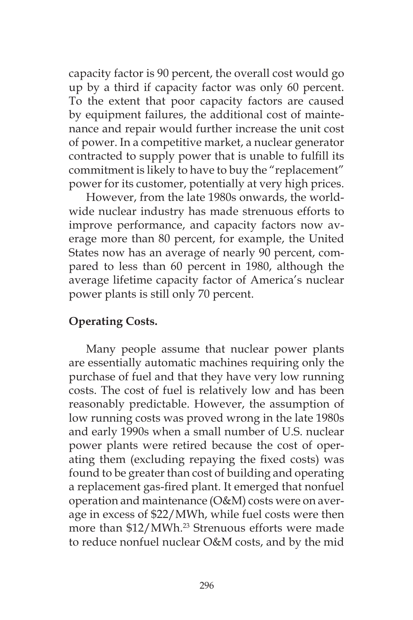capacity factor is 90 percent, the overall cost would go up by a third if capacity factor was only 60 percent. To the extent that poor capacity factors are caused by equipment failures, the additional cost of maintenance and repair would further increase the unit cost of power. In a competitive market, a nuclear generator contracted to supply power that is unable to fulfill its commitment is likely to have to buy the "replacement" power for its customer, potentially at very high prices.

However, from the late 1980s onwards, the worldwide nuclear industry has made strenuous efforts to improve performance, and capacity factors now average more than 80 percent, for example, the United States now has an average of nearly 90 percent, compared to less than 60 percent in 1980, although the average lifetime capacity factor of America's nuclear power plants is still only 70 percent.

## **Operating Costs.**

Many people assume that nuclear power plants are essentially automatic machines requiring only the purchase of fuel and that they have very low running costs. The cost of fuel is relatively low and has been reasonably predictable. However, the assumption of low running costs was proved wrong in the late 1980s and early 1990s when a small number of U.S. nuclear power plants were retired because the cost of operating them (excluding repaying the fixed costs) was found to be greater than cost of building and operating a replacement gas-fired plant. It emerged that nonfuel operation and maintenance (O&M) costs were on average in excess of \$22/MWh, while fuel costs were then more than \$12/MWh.<sup>23</sup> Strenuous efforts were made to reduce nonfuel nuclear O&M costs, and by the mid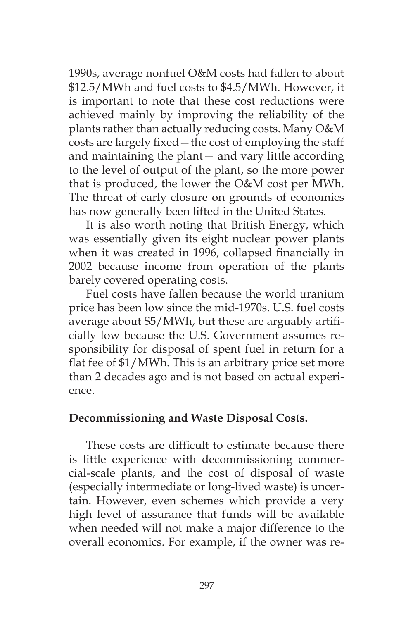1990s, average nonfuel O&M costs had fallen to about \$12.5/MWh and fuel costs to \$4.5/MWh. However, it is important to note that these cost reductions were achieved mainly by improving the reliability of the plants rather than actually reducing costs. Many O&M costs are largely fixed—the cost of employing the staff and maintaining the plant— and vary little according to the level of output of the plant, so the more power that is produced, the lower the O&M cost per MWh. The threat of early closure on grounds of economics has now generally been lifted in the United States.

It is also worth noting that British Energy, which was essentially given its eight nuclear power plants when it was created in 1996, collapsed financially in 2002 because income from operation of the plants barely covered operating costs.

Fuel costs have fallen because the world uranium price has been low since the mid-1970s. U.S. fuel costs average about \$5/MWh, but these are arguably artificially low because the U.S. Government assumes responsibility for disposal of spent fuel in return for a flat fee of \$1/MWh. This is an arbitrary price set more than 2 decades ago and is not based on actual experience.

## **Decommissioning and Waste Disposal Costs.**

These costs are difficult to estimate because there is little experience with decommissioning commercial-scale plants, and the cost of disposal of waste (especially intermediate or long-lived waste) is uncertain. However, even schemes which provide a very high level of assurance that funds will be available when needed will not make a major difference to the overall economics. For example, if the owner was re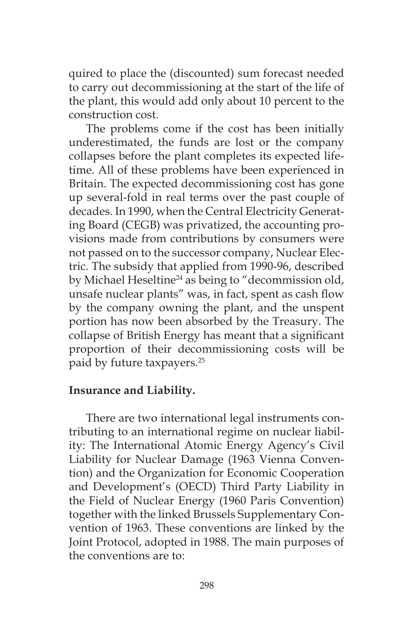quired to place the (discounted) sum forecast needed to carry out decommissioning at the start of the life of the plant, this would add only about 10 percent to the construction cost.

The problems come if the cost has been initially underestimated, the funds are lost or the company collapses before the plant completes its expected lifetime. All of these problems have been experienced in Britain. The expected decommissioning cost has gone up several-fold in real terms over the past couple of decades. In 1990, when the Central Electricity Generating Board (CEGB) was privatized, the accounting provisions made from contributions by consumers were not passed on to the successor company, Nuclear Electric. The subsidy that applied from 1990-96, described by Michael Heseltine<sup>24</sup> as being to "decommission old, unsafe nuclear plants" was, in fact, spent as cash flow by the company owning the plant, and the unspent portion has now been absorbed by the Treasury. The collapse of British Energy has meant that a significant proportion of their decommissioning costs will be paid by future taxpayers.<sup>25</sup>

#### **Insurance and Liability.**

There are two international legal instruments contributing to an international regime on nuclear liability: The International Atomic Energy Agency's Civil Liability for Nuclear Damage (1963 Vienna Convention) and the Organization for Economic Cooperation and Development's (OECD) Third Party Liability in the Field of Nuclear Energy (1960 Paris Convention) together with the linked Brussels Supplementary Convention of 1963. These conventions are linked by the Joint Protocol, adopted in 1988. The main purposes of the conventions are to: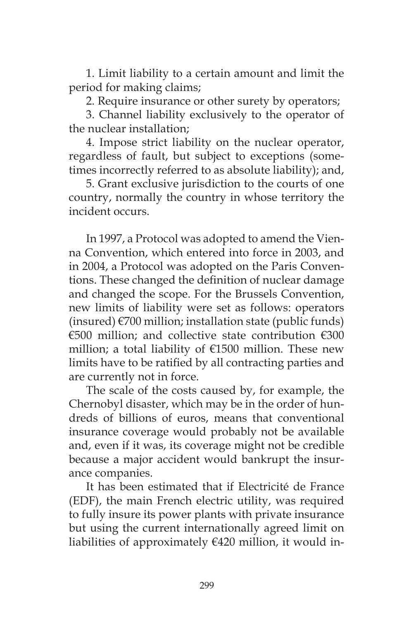1. Limit liability to a certain amount and limit the period for making claims;

2. Require insurance or other surety by operators;

3. Channel liability exclusively to the operator of the nuclear installation;

4. Impose strict liability on the nuclear operator, regardless of fault, but subject to exceptions (sometimes incorrectly referred to as absolute liability); and,

5. Grant exclusive jurisdiction to the courts of one country, normally the country in whose territory the incident occurs.

In 1997, a Protocol was adopted to amend the Vienna Convention, which entered into force in 2003, and in 2004, a Protocol was adopted on the Paris Conventions. These changed the definition of nuclear damage and changed the scope. For the Brussels Convention, new limits of liability were set as follows: operators (insured)  $\epsilon$ 700 million; installation state (public funds) €500 million; and collective state contribution €300 million; a total liability of  $£1500$  million. These new limits have to be ratified by all contracting parties and are currently not in force.

The scale of the costs caused by, for example, the Chernobyl disaster, which may be in the order of hundreds of billions of euros, means that conventional insurance coverage would probably not be available and, even if it was, its coverage might not be credible because a major accident would bankrupt the insurance companies.

It has been estimated that if Electricité de France (EDF), the main French electric utility, was required to fully insure its power plants with private insurance but using the current internationally agreed limit on liabilities of approximately €420 million, it would in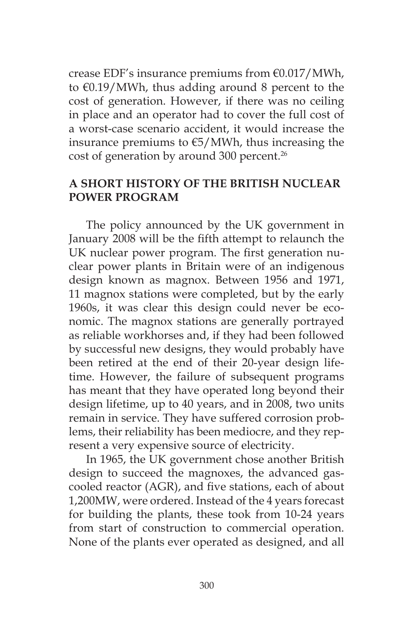crease EDF's insurance premiums from €0.017/MWh, to  $\epsilon$ 0.19/MWh, thus adding around 8 percent to the cost of generation. However, if there was no ceiling in place and an operator had to cover the full cost of a worst-case scenario accident, it would increase the insurance premiums to  $E_5/MWh$ , thus increasing the cost of generation by around 300 percent.<sup>26</sup>

## **A SHORT HISTORY OF THE BRITISH NUCLEAR POWER PROGRAM**

The policy announced by the UK government in January 2008 will be the fifth attempt to relaunch the UK nuclear power program. The first generation nuclear power plants in Britain were of an indigenous design known as magnox. Between 1956 and 1971, 11 magnox stations were completed, but by the early 1960s, it was clear this design could never be economic. The magnox stations are generally portrayed as reliable workhorses and, if they had been followed by successful new designs, they would probably have been retired at the end of their 20-year design lifetime. However, the failure of subsequent programs has meant that they have operated long beyond their design lifetime, up to 40 years, and in 2008, two units remain in service. They have suffered corrosion problems, their reliability has been mediocre, and they represent a very expensive source of electricity.

In 1965, the UK government chose another British design to succeed the magnoxes, the advanced gascooled reactor (AGR), and five stations, each of about 1,200MW, were ordered. Instead of the 4 years forecast for building the plants, these took from 10-24 years from start of construction to commercial operation. None of the plants ever operated as designed, and all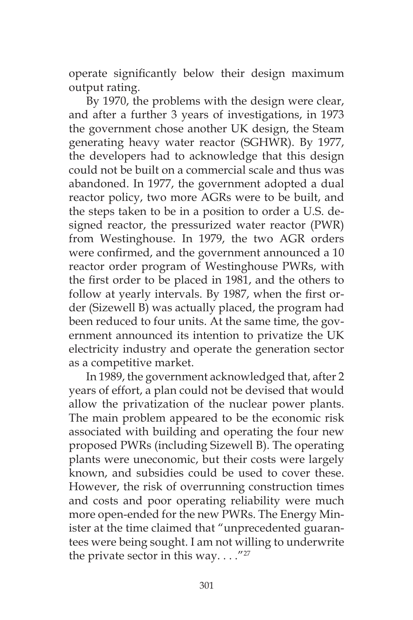operate significantly below their design maximum output rating.

By 1970, the problems with the design were clear, and after a further 3 years of investigations, in 1973 the government chose another UK design, the Steam generating heavy water reactor (SGHWR). By 1977, the developers had to acknowledge that this design could not be built on a commercial scale and thus was abandoned. In 1977, the government adopted a dual reactor policy, two more AGRs were to be built, and the steps taken to be in a position to order a U.S. designed reactor, the pressurized water reactor (PWR) from Westinghouse. In 1979, the two AGR orders were confirmed, and the government announced a 10 reactor order program of Westinghouse PWRs, with the first order to be placed in 1981, and the others to follow at yearly intervals. By 1987, when the first order (Sizewell B) was actually placed, the program had been reduced to four units. At the same time, the government announced its intention to privatize the UK electricity industry and operate the generation sector as a competitive market.

In 1989, the government acknowledged that, after 2 years of effort, a plan could not be devised that would allow the privatization of the nuclear power plants. The main problem appeared to be the economic risk associated with building and operating the four new proposed PWRs (including Sizewell B). The operating plants were uneconomic, but their costs were largely known, and subsidies could be used to cover these. However, the risk of overrunning construction times and costs and poor operating reliability were much more open-ended for the new PWRs. The Energy Minister at the time claimed that "unprecedented guarantees were being sought. I am not willing to underwrite the private sector in this way...."<sup>27</sup>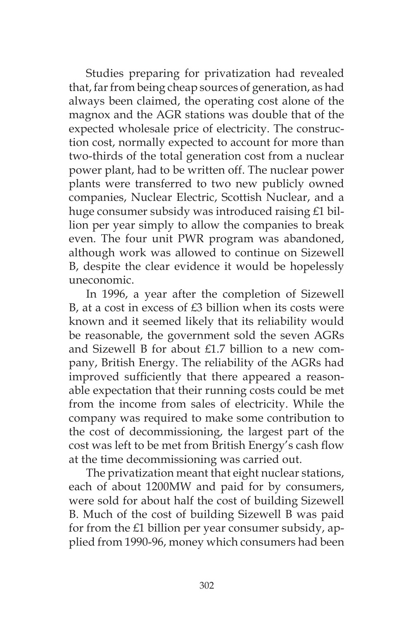Studies preparing for privatization had revealed that, far from being cheap sources of generation, as had always been claimed, the operating cost alone of the magnox and the AGR stations was double that of the expected wholesale price of electricity. The construction cost, normally expected to account for more than two-thirds of the total generation cost from a nuclear power plant, had to be written off. The nuclear power plants were transferred to two new publicly owned companies, Nuclear Electric, Scottish Nuclear, and a huge consumer subsidy was introduced raising £1 billion per year simply to allow the companies to break even. The four unit PWR program was abandoned, although work was allowed to continue on Sizewell B, despite the clear evidence it would be hopelessly uneconomic.

In 1996, a year after the completion of Sizewell B, at a cost in excess of £3 billion when its costs were known and it seemed likely that its reliability would be reasonable, the government sold the seven AGRs and Sizewell B for about £1.7 billion to a new company, British Energy. The reliability of the AGRs had improved sufficiently that there appeared a reasonable expectation that their running costs could be met from the income from sales of electricity. While the company was required to make some contribution to the cost of decommissioning, the largest part of the cost was left to be met from British Energy's cash flow at the time decommissioning was carried out.

The privatization meant that eight nuclear stations, each of about 1200MW and paid for by consumers, were sold for about half the cost of building Sizewell B. Much of the cost of building Sizewell B was paid for from the £1 billion per year consumer subsidy, applied from 1990-96, money which consumers had been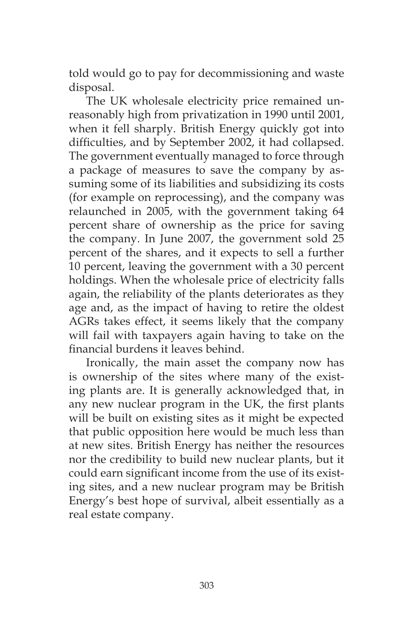told would go to pay for decommissioning and waste disposal.

The UK wholesale electricity price remained unreasonably high from privatization in 1990 until 2001, when it fell sharply. British Energy quickly got into difficulties, and by September 2002, it had collapsed. The government eventually managed to force through a package of measures to save the company by assuming some of its liabilities and subsidizing its costs (for example on reprocessing), and the company was relaunched in 2005, with the government taking 64 percent share of ownership as the price for saving the company. In June 2007, the government sold 25 percent of the shares, and it expects to sell a further 10 percent, leaving the government with a 30 percent holdings. When the wholesale price of electricity falls again, the reliability of the plants deteriorates as they age and, as the impact of having to retire the oldest AGRs takes effect, it seems likely that the company will fail with taxpayers again having to take on the financial burdens it leaves behind.

Ironically, the main asset the company now has is ownership of the sites where many of the existing plants are. It is generally acknowledged that, in any new nuclear program in the UK, the first plants will be built on existing sites as it might be expected that public opposition here would be much less than at new sites. British Energy has neither the resources nor the credibility to build new nuclear plants, but it could earn significant income from the use of its existing sites, and a new nuclear program may be British Energy's best hope of survival, albeit essentially as a real estate company.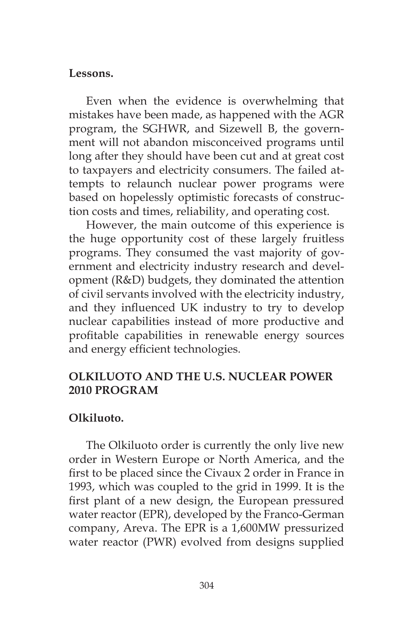#### **Lessons.**

Even when the evidence is overwhelming that mistakes have been made, as happened with the AGR program, the SGHWR, and Sizewell B, the government will not abandon misconceived programs until long after they should have been cut and at great cost to taxpayers and electricity consumers. The failed attempts to relaunch nuclear power programs were based on hopelessly optimistic forecasts of construction costs and times, reliability, and operating cost.

However, the main outcome of this experience is the huge opportunity cost of these largely fruitless programs. They consumed the vast majority of government and electricity industry research and development (R&D) budgets, they dominated the attention of civil servants involved with the electricity industry, and they influenced UK industry to try to develop nuclear capabilities instead of more productive and profitable capabilities in renewable energy sources and energy efficient technologies.

## **OLKILUOTO AND THE U.S. NUCLEAR POWER 2010 PROGRAM**

## **Olkiluoto.**

The Olkiluoto order is currently the only live new order in Western Europe or North America, and the first to be placed since the Civaux 2 order in France in 1993, which was coupled to the grid in 1999. It is the first plant of a new design, the European pressured water reactor (EPR), developed by the Franco-German company, Areva. The EPR is a 1,600MW pressurized water reactor (PWR) evolved from designs supplied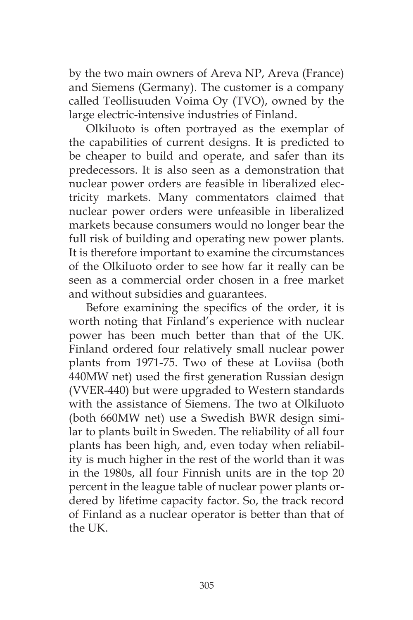by the two main owners of Areva NP, Areva (France) and Siemens (Germany). The customer is a company called Teollisuuden Voima Oy (TVO), owned by the large electric-intensive industries of Finland.

Olkiluoto is often portrayed as the exemplar of the capabilities of current designs. It is predicted to be cheaper to build and operate, and safer than its predecessors. It is also seen as a demonstration that nuclear power orders are feasible in liberalized electricity markets. Many commentators claimed that nuclear power orders were unfeasible in liberalized markets because consumers would no longer bear the full risk of building and operating new power plants. It is therefore important to examine the circumstances of the Olkiluoto order to see how far it really can be seen as a commercial order chosen in a free market and without subsidies and guarantees.

Before examining the specifics of the order, it is worth noting that Finland's experience with nuclear power has been much better than that of the UK. Finland ordered four relatively small nuclear power plants from 1971-75. Two of these at Loviisa (both 440MW net) used the first generation Russian design (VVER-440) but were upgraded to Western standards with the assistance of Siemens. The two at Olkiluoto (both 660MW net) use a Swedish BWR design similar to plants built in Sweden. The reliability of all four plants has been high, and, even today when reliability is much higher in the rest of the world than it was in the 1980s, all four Finnish units are in the top 20 percent in the league table of nuclear power plants ordered by lifetime capacity factor. So, the track record of Finland as a nuclear operator is better than that of the UK.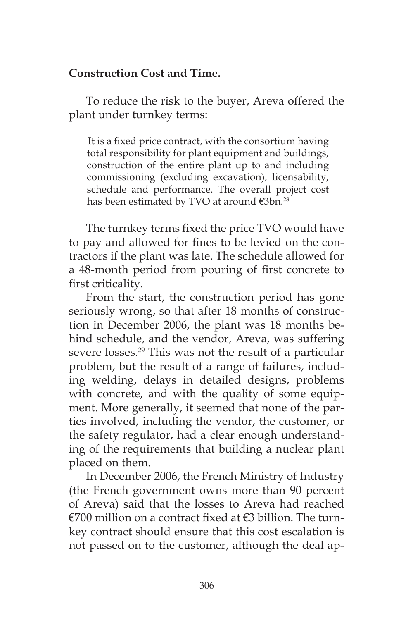## **Construction Cost and Time.**

To reduce the risk to the buyer, Areva offered the plant under turnkey terms:

It is a fixed price contract, with the consortium having total responsibility for plant equipment and buildings, construction of the entire plant up to and including commissioning (excluding excavation), licensability, schedule and performance. The overall project cost has been estimated by TVO at around  $\epsilon$ 3bn.<sup>28</sup>

The turnkey terms fixed the price TVO would have to pay and allowed for fines to be levied on the contractors if the plant was late. The schedule allowed for a 48-month period from pouring of first concrete to first criticality.

From the start, the construction period has gone seriously wrong, so that after 18 months of construction in December 2006, the plant was 18 months behind schedule, and the vendor, Areva, was suffering severe losses.<sup>29</sup> This was not the result of a particular problem, but the result of a range of failures, including welding, delays in detailed designs, problems with concrete, and with the quality of some equipment. More generally, it seemed that none of the parties involved, including the vendor, the customer, or the safety regulator, had a clear enough understanding of the requirements that building a nuclear plant placed on them.

In December 2006, the French Ministry of Industry (the French government owns more than 90 percent of Areva) said that the losses to Areva had reached €700 million on a contract fixed at €3 billion. The turnkey contract should ensure that this cost escalation is not passed on to the customer, although the deal ap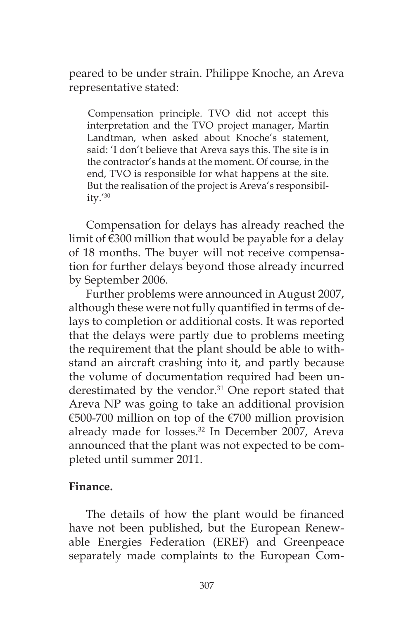peared to be under strain. Philippe Knoche, an Areva representative stated:

Compensation principle. TVO did not accept this interpretation and the TVO project manager, Martin Landtman, when asked about Knoche's statement, said: 'I don't believe that Areva says this. The site is in the contractor's hands at the moment. Of course, in the end, TVO is responsible for what happens at the site. But the realisation of the project is Areva's responsibility.'30

Compensation for delays has already reached the limit of €300 million that would be payable for a delay of 18 months. The buyer will not receive compensation for further delays beyond those already incurred by September 2006.

Further problems were announced in August 2007, although these were not fully quantified in terms of delays to completion or additional costs. It was reported that the delays were partly due to problems meeting the requirement that the plant should be able to withstand an aircraft crashing into it, and partly because the volume of documentation required had been underestimated by the vendor.<sup>31</sup> One report stated that Areva NP was going to take an additional provision €500-700 million on top of the  $€700$  million provision already made for losses.<sup>32</sup> In December 2007, Areva announced that the plant was not expected to be completed until summer 2011.

## **Finance.**

The details of how the plant would be financed have not been published, but the European Renewable Energies Federation (EREF) and Greenpeace separately made complaints to the European Com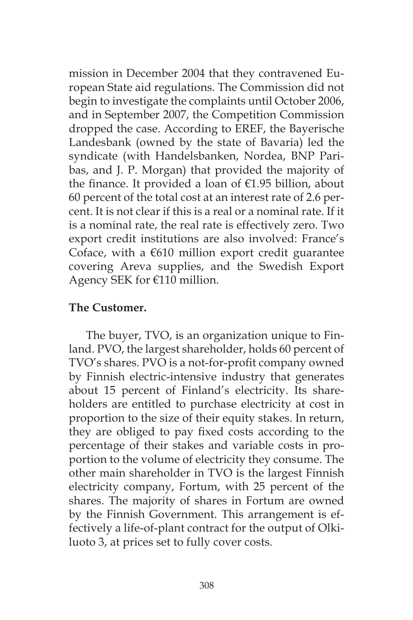mission in December 2004 that they contravened European State aid regulations. The Commission did not begin to investigate the complaints until October 2006, and in September 2007, the Competition Commission dropped the case. According to EREF, the Bayerische Landesbank (owned by the state of Bavaria) led the syndicate (with Handelsbanken, Nordea, BNP Paribas, and J. P. Morgan) that provided the majority of the finance. It provided a loan of  $E1.95$  billion, about 60 percent of the total cost at an interest rate of 2.6 percent. It is not clear if this is a real or a nominal rate. If it is a nominal rate, the real rate is effectively zero. Two export credit institutions are also involved: France's Coface, with a  $€610$  million export credit guarantee covering Areva supplies, and the Swedish Export Agency SEK for €110 million.

## **The Customer.**

The buyer, TVO, is an organization unique to Finland. PVO, the largest shareholder, holds 60 percent of TVO's shares. PVO is a not-for-profit company owned by Finnish electric-intensive industry that generates about 15 percent of Finland's electricity. Its shareholders are entitled to purchase electricity at cost in proportion to the size of their equity stakes. In return, they are obliged to pay fixed costs according to the percentage of their stakes and variable costs in proportion to the volume of electricity they consume. The other main shareholder in TVO is the largest Finnish electricity company, Fortum, with 25 percent of the shares. The majority of shares in Fortum are owned by the Finnish Government. This arrangement is effectively a life-of-plant contract for the output of Olkiluoto 3, at prices set to fully cover costs.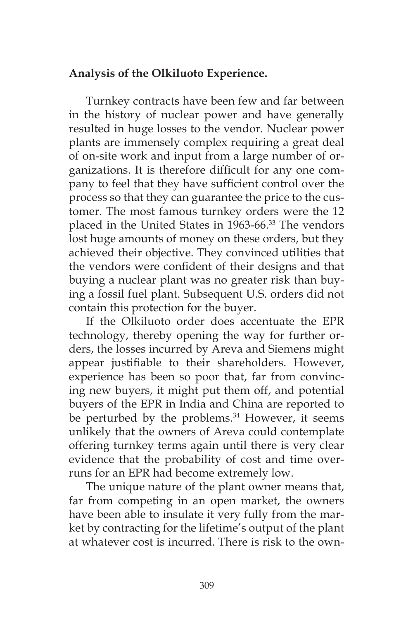## **Analysis of the Olkiluoto Experience.**

Turnkey contracts have been few and far between in the history of nuclear power and have generally resulted in huge losses to the vendor. Nuclear power plants are immensely complex requiring a great deal of on-site work and input from a large number of organizations. It is therefore difficult for any one company to feel that they have sufficient control over the process so that they can guarantee the price to the customer. The most famous turnkey orders were the 12 placed in the United States in 1963-66.<sup>33</sup> The vendors lost huge amounts of money on these orders, but they achieved their objective. They convinced utilities that the vendors were confident of their designs and that buying a nuclear plant was no greater risk than buying a fossil fuel plant. Subsequent U.S. orders did not contain this protection for the buyer.

If the Olkiluoto order does accentuate the EPR technology, thereby opening the way for further orders, the losses incurred by Areva and Siemens might appear justifiable to their shareholders. However, experience has been so poor that, far from convincing new buyers, it might put them off, and potential buyers of the EPR in India and China are reported to be perturbed by the problems.<sup>34</sup> However, it seems unlikely that the owners of Areva could contemplate offering turnkey terms again until there is very clear evidence that the probability of cost and time overruns for an EPR had become extremely low.

The unique nature of the plant owner means that, far from competing in an open market, the owners have been able to insulate it very fully from the market by contracting for the lifetime's output of the plant at whatever cost is incurred. There is risk to the own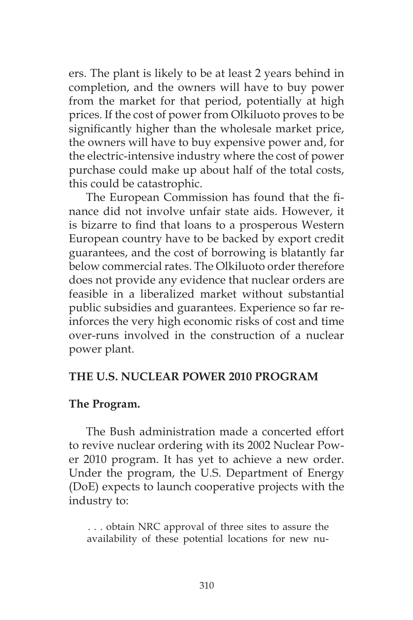ers. The plant is likely to be at least 2 years behind in completion, and the owners will have to buy power from the market for that period, potentially at high prices. If the cost of power from Olkiluoto proves to be significantly higher than the wholesale market price, the owners will have to buy expensive power and, for the electric-intensive industry where the cost of power purchase could make up about half of the total costs, this could be catastrophic.

The European Commission has found that the finance did not involve unfair state aids. However, it is bizarre to find that loans to a prosperous Western European country have to be backed by export credit guarantees, and the cost of borrowing is blatantly far below commercial rates. The Olkiluoto order therefore does not provide any evidence that nuclear orders are feasible in a liberalized market without substantial public subsidies and guarantees. Experience so far reinforces the very high economic risks of cost and time over-runs involved in the construction of a nuclear power plant.

## **THE U.S. NUCLEAR POWER 2010 PROGRAM**

## **The Program.**

The Bush administration made a concerted effort to revive nuclear ordering with its 2002 Nuclear Power 2010 program. It has yet to achieve a new order. Under the program, the U.S. Department of Energy (DoE) expects to launch cooperative projects with the industry to:

. . . obtain NRC approval of three sites to assure the availability of these potential locations for new nu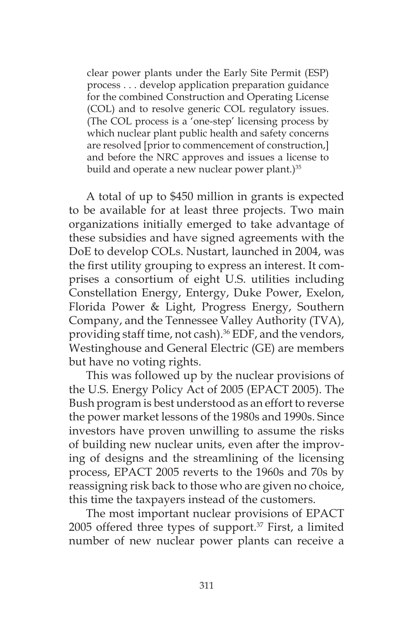clear power plants under the Early Site Permit (ESP) process . . . develop application preparation guidance for the combined Construction and Operating License (COL) and to resolve generic COL regulatory issues. (The COL process is a 'one-step' licensing process by which nuclear plant public health and safety concerns are resolved [prior to commencement of construction,] and before the NRC approves and issues a license to build and operate a new nuclear power plant.)<sup>35</sup>

A total of up to \$450 million in grants is expected to be available for at least three projects. Two main organizations initially emerged to take advantage of these subsidies and have signed agreements with the DoE to develop COLs. Nustart, launched in 2004, was the first utility grouping to express an interest. It comprises a consortium of eight U.S. utilities including Constellation Energy, Entergy, Duke Power, Exelon, Florida Power & Light, Progress Energy, Southern Company, and the Tennessee Valley Authority (TVA), providing staff time, not cash).<sup>36</sup> EDF, and the vendors, Westinghouse and General Electric (GE) are members but have no voting rights.

This was followed up by the nuclear provisions of the U.S. Energy Policy Act of 2005 (EPACT 2005). The Bush program is best understood as an effort to reverse the power market lessons of the 1980s and 1990s. Since investors have proven unwilling to assume the risks of building new nuclear units, even after the improving of designs and the streamlining of the licensing process, EPACT 2005 reverts to the 1960s and 70s by reassigning risk back to those who are given no choice, this time the taxpayers instead of the customers.

The most important nuclear provisions of EPACT 2005 offered three types of support. $37$  First, a limited number of new nuclear power plants can receive a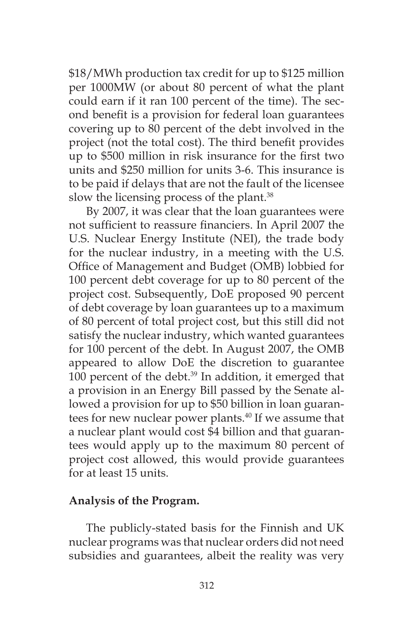\$18/MWh production tax credit for up to \$125 million per 1000MW (or about 80 percent of what the plant could earn if it ran 100 percent of the time). The second benefit is a provision for federal loan guarantees covering up to 80 percent of the debt involved in the project (not the total cost). The third benefit provides up to \$500 million in risk insurance for the first two units and \$250 million for units 3-6. This insurance is to be paid if delays that are not the fault of the licensee slow the licensing process of the plant.<sup>38</sup>

By 2007, it was clear that the loan guarantees were not sufficient to reassure financiers. In April 2007 the U.S. Nuclear Energy Institute (NEI), the trade body for the nuclear industry, in a meeting with the U.S. Office of Management and Budget (OMB) lobbied for 100 percent debt coverage for up to 80 percent of the project cost. Subsequently, DoE proposed 90 percent of debt coverage by loan guarantees up to a maximum of 80 percent of total project cost, but this still did not satisfy the nuclear industry, which wanted guarantees for 100 percent of the debt. In August 2007, the OMB appeared to allow DoE the discretion to guarantee 100 percent of the debt. $39$  In addition, it emerged that a provision in an Energy Bill passed by the Senate allowed a provision for up to \$50 billion in loan guarantees for new nuclear power plants.<sup>40</sup> If we assume that a nuclear plant would cost \$4 billion and that guarantees would apply up to the maximum 80 percent of project cost allowed, this would provide guarantees for at least 15 units.

## **Analysis of the Program.**

The publicly-stated basis for the Finnish and UK nuclear programs was that nuclear orders did not need subsidies and guarantees, albeit the reality was very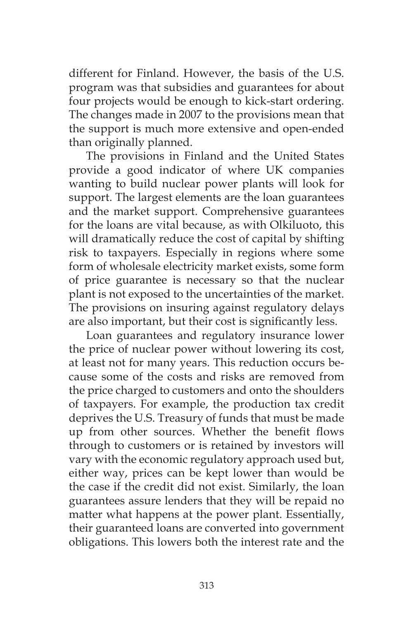different for Finland. However, the basis of the U.S. program was that subsidies and guarantees for about four projects would be enough to kick-start ordering. The changes made in 2007 to the provisions mean that the support is much more extensive and open-ended than originally planned.

The provisions in Finland and the United States provide a good indicator of where UK companies wanting to build nuclear power plants will look for support. The largest elements are the loan guarantees and the market support. Comprehensive guarantees for the loans are vital because, as with Olkiluoto, this will dramatically reduce the cost of capital by shifting risk to taxpayers. Especially in regions where some form of wholesale electricity market exists, some form of price guarantee is necessary so that the nuclear plant is not exposed to the uncertainties of the market. The provisions on insuring against regulatory delays are also important, but their cost is significantly less.

Loan guarantees and regulatory insurance lower the price of nuclear power without lowering its cost, at least not for many years. This reduction occurs because some of the costs and risks are removed from the price charged to customers and onto the shoulders of taxpayers. For example, the production tax credit deprives the U.S. Treasury of funds that must be made up from other sources. Whether the benefit flows through to customers or is retained by investors will vary with the economic regulatory approach used but, either way, prices can be kept lower than would be the case if the credit did not exist. Similarly, the loan guarantees assure lenders that they will be repaid no matter what happens at the power plant. Essentially, their guaranteed loans are converted into government obligations. This lowers both the interest rate and the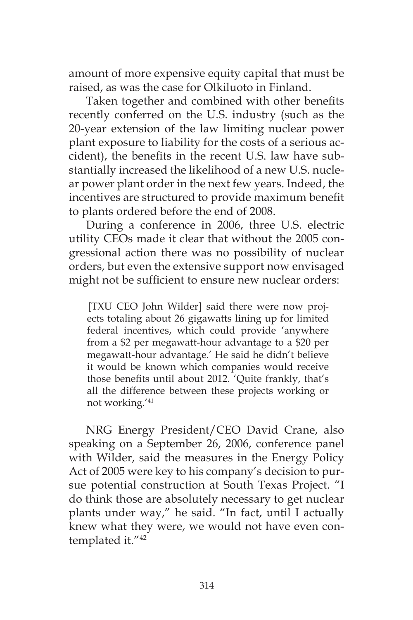amount of more expensive equity capital that must be raised, as was the case for Olkiluoto in Finland.

Taken together and combined with other benefits recently conferred on the U.S. industry (such as the 20-year extension of the law limiting nuclear power plant exposure to liability for the costs of a serious accident), the benefits in the recent U.S. law have substantially increased the likelihood of a new U.S. nuclear power plant order in the next few years. Indeed, the incentives are structured to provide maximum benefit to plants ordered before the end of 2008.

During a conference in 2006, three U.S. electric utility CEOs made it clear that without the 2005 congressional action there was no possibility of nuclear orders, but even the extensive support now envisaged might not be sufficient to ensure new nuclear orders:

[TXU CEO John Wilder] said there were now projects totaling about 26 gigawatts lining up for limited federal incentives, which could provide 'anywhere from a \$2 per megawatt-hour advantage to a \$20 per megawatt-hour advantage.' He said he didn't believe it would be known which companies would receive those benefits until about 2012. 'Quite frankly, that's all the difference between these projects working or not working.'41

NRG Energy President/CEO David Crane, also speaking on a September 26, 2006, conference panel with Wilder, said the measures in the Energy Policy Act of 2005 were key to his company's decision to pursue potential construction at South Texas Project. "I do think those are absolutely necessary to get nuclear plants under way," he said. "In fact, until I actually knew what they were, we would not have even contemplated it."42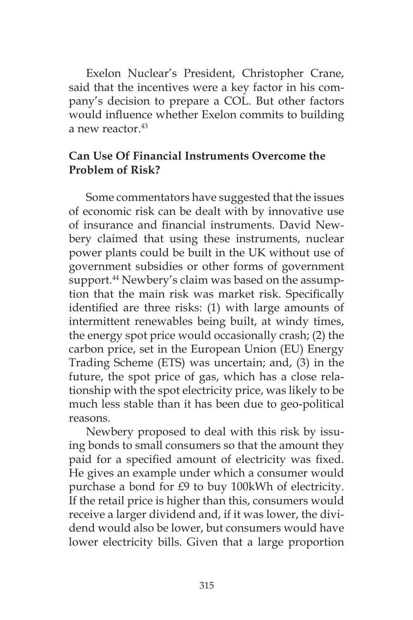Exelon Nuclear's President, Christopher Crane, said that the incentives were a key factor in his company's decision to prepare a COL. But other factors would influence whether Exelon commits to building a new reactor  $43$ 

## **Can Use Of Financial Instruments Overcome the Problem of Risk?**

Some commentators have suggested that the issues of economic risk can be dealt with by innovative use of insurance and financial instruments. David Newbery claimed that using these instruments, nuclear power plants could be built in the UK without use of government subsidies or other forms of government support.<sup>44</sup> Newbery's claim was based on the assumption that the main risk was market risk. Specifically identified are three risks: (1) with large amounts of intermittent renewables being built, at windy times, the energy spot price would occasionally crash; (2) the carbon price, set in the European Union (EU) Energy Trading Scheme (ETS) was uncertain; and, (3) in the future, the spot price of gas, which has a close relationship with the spot electricity price, was likely to be much less stable than it has been due to geo-political reasons.

Newbery proposed to deal with this risk by issuing bonds to small consumers so that the amount they paid for a specified amount of electricity was fixed. He gives an example under which a consumer would purchase a bond for £9 to buy 100kWh of electricity. If the retail price is higher than this, consumers would receive a larger dividend and, if it was lower, the dividend would also be lower, but consumers would have lower electricity bills. Given that a large proportion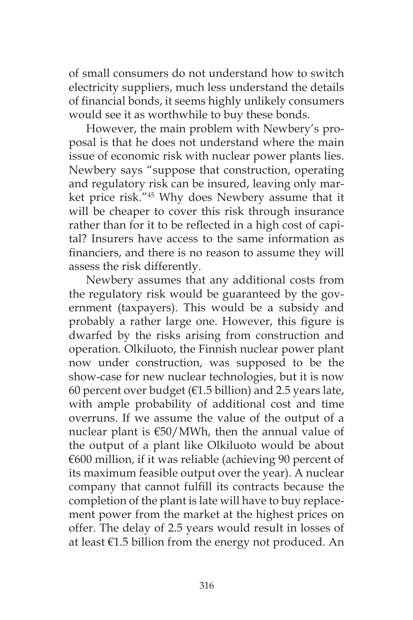of small consumers do not understand how to switch electricity suppliers, much less understand the details of financial bonds, it seems highly unlikely consumers would see it as worthwhile to buy these bonds.

However, the main problem with Newbery's proposal is that he does not understand where the main issue of economic risk with nuclear power plants lies. Newbery says "suppose that construction, operating and regulatory risk can be insured, leaving only market price risk."45 Why does Newbery assume that it will be cheaper to cover this risk through insurance rather than for it to be reflected in a high cost of capital? Insurers have access to the same information as financiers, and there is no reason to assume they will assess the risk differently.

Newbery assumes that any additional costs from the regulatory risk would be guaranteed by the government (taxpayers). This would be a subsidy and probably a rather large one. However, this figure is dwarfed by the risks arising from construction and operation. Olkiluoto, the Finnish nuclear power plant now under construction, was supposed to be the show-case for new nuclear technologies, but it is now 60 percent over budget ( $\epsilon$ 1.5 billion) and 2.5 years late, with ample probability of additional cost and time overruns. If we assume the value of the output of a nuclear plant is €50/MWh, then the annual value of the output of a plant like Olkiluoto would be about €600 million, if it was reliable (achieving 90 percent of its maximum feasible output over the year). A nuclear company that cannot fulfill its contracts because the completion of the plant is late will have to buy replacement power from the market at the highest prices on offer. The delay of 2.5 years would result in losses of at least €1.5 billion from the energy not produced. An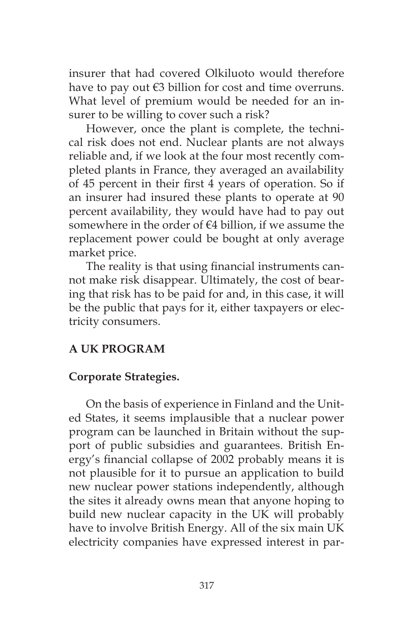insurer that had covered Olkiluoto would therefore have to pay out €3 billion for cost and time overruns. What level of premium would be needed for an insurer to be willing to cover such a risk?

However, once the plant is complete, the technical risk does not end. Nuclear plants are not always reliable and, if we look at the four most recently completed plants in France, they averaged an availability of 45 percent in their first 4 years of operation. So if an insurer had insured these plants to operate at 90 percent availability, they would have had to pay out somewhere in the order of €4 billion, if we assume the replacement power could be bought at only average market price.

The reality is that using financial instruments cannot make risk disappear. Ultimately, the cost of bearing that risk has to be paid for and, in this case, it will be the public that pays for it, either taxpayers or electricity consumers.

# **A UK PROGRAM**

## **Corporate Strategies.**

On the basis of experience in Finland and the United States, it seems implausible that a nuclear power program can be launched in Britain without the support of public subsidies and guarantees. British Energy's financial collapse of 2002 probably means it is not plausible for it to pursue an application to build new nuclear power stations independently, although the sites it already owns mean that anyone hoping to build new nuclear capacity in the UK will probably have to involve British Energy. All of the six main UK electricity companies have expressed interest in par-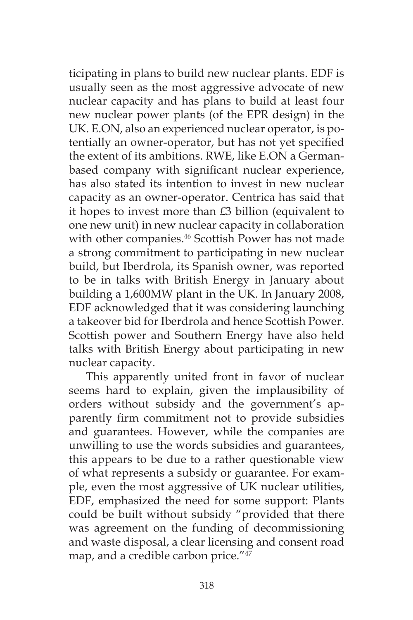ticipating in plans to build new nuclear plants. EDF is usually seen as the most aggressive advocate of new nuclear capacity and has plans to build at least four new nuclear power plants (of the EPR design) in the UK. E.ON, also an experienced nuclear operator, is potentially an owner-operator, but has not yet specified the extent of its ambitions. RWE, like E.ON a Germanbased company with significant nuclear experience, has also stated its intention to invest in new nuclear capacity as an owner-operator. Centrica has said that it hopes to invest more than £3 billion (equivalent to one new unit) in new nuclear capacity in collaboration with other companies.<sup>46</sup> Scottish Power has not made a strong commitment to participating in new nuclear build, but Iberdrola, its Spanish owner, was reported to be in talks with British Energy in January about building a 1,600MW plant in the UK. In January 2008, EDF acknowledged that it was considering launching a takeover bid for Iberdrola and hence Scottish Power. Scottish power and Southern Energy have also held talks with British Energy about participating in new nuclear capacity.

This apparently united front in favor of nuclear seems hard to explain, given the implausibility of orders without subsidy and the government's apparently firm commitment not to provide subsidies and guarantees. However, while the companies are unwilling to use the words subsidies and guarantees, this appears to be due to a rather questionable view of what represents a subsidy or guarantee. For example, even the most aggressive of UK nuclear utilities, EDF, emphasized the need for some support: Plants could be built without subsidy "provided that there was agreement on the funding of decommissioning and waste disposal, a clear licensing and consent road map, and a credible carbon price."47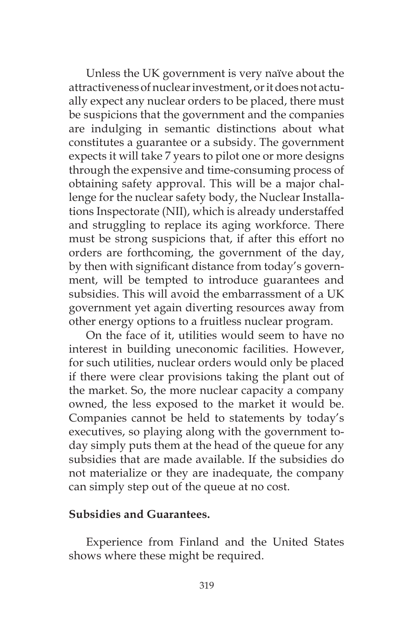Unless the UK government is very naïve about the attractiveness of nuclear investment, or it does not actually expect any nuclear orders to be placed, there must be suspicions that the government and the companies are indulging in semantic distinctions about what constitutes a guarantee or a subsidy. The government expects it will take 7 years to pilot one or more designs through the expensive and time-consuming process of obtaining safety approval. This will be a major challenge for the nuclear safety body, the Nuclear Installations Inspectorate (NII), which is already understaffed and struggling to replace its aging workforce. There must be strong suspicions that, if after this effort no orders are forthcoming, the government of the day, by then with significant distance from today's government, will be tempted to introduce guarantees and subsidies. This will avoid the embarrassment of a UK government yet again diverting resources away from other energy options to a fruitless nuclear program.

On the face of it, utilities would seem to have no interest in building uneconomic facilities. However, for such utilities, nuclear orders would only be placed if there were clear provisions taking the plant out of the market. So, the more nuclear capacity a company owned, the less exposed to the market it would be. Companies cannot be held to statements by today's executives, so playing along with the government today simply puts them at the head of the queue for any subsidies that are made available. If the subsidies do not materialize or they are inadequate, the company can simply step out of the queue at no cost.

## **Subsidies and Guarantees.**

Experience from Finland and the United States shows where these might be required.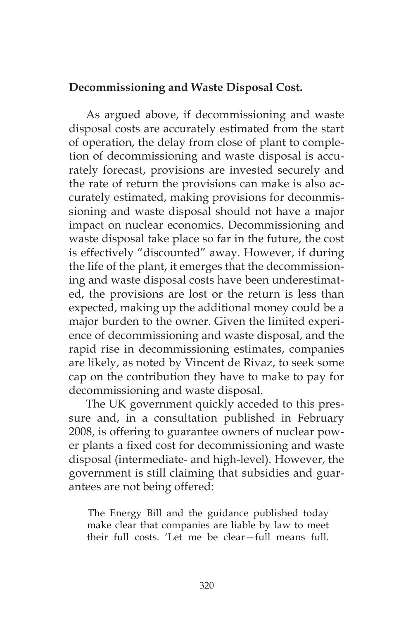#### **Decommissioning and Waste Disposal Cost.**

As argued above, if decommissioning and waste disposal costs are accurately estimated from the start of operation, the delay from close of plant to completion of decommissioning and waste disposal is accurately forecast, provisions are invested securely and the rate of return the provisions can make is also accurately estimated, making provisions for decommissioning and waste disposal should not have a major impact on nuclear economics. Decommissioning and waste disposal take place so far in the future, the cost is effectively "discounted" away. However, if during the life of the plant, it emerges that the decommissioning and waste disposal costs have been underestimated, the provisions are lost or the return is less than expected, making up the additional money could be a major burden to the owner. Given the limited experience of decommissioning and waste disposal, and the rapid rise in decommissioning estimates, companies are likely, as noted by Vincent de Rivaz, to seek some cap on the contribution they have to make to pay for decommissioning and waste disposal.

The UK government quickly acceded to this pressure and, in a consultation published in February 2008, is offering to guarantee owners of nuclear power plants a fixed cost for decommissioning and waste disposal (intermediate- and high-level). However, the government is still claiming that subsidies and guarantees are not being offered:

The Energy Bill and the guidance published today make clear that companies are liable by law to meet their full costs. 'Let me be clear—full means full.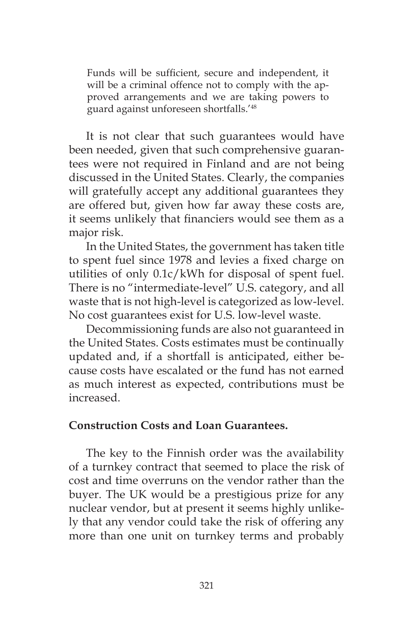Funds will be sufficient, secure and independent, it will be a criminal offence not to comply with the approved arrangements and we are taking powers to guard against unforeseen shortfalls.'48

It is not clear that such guarantees would have been needed, given that such comprehensive guarantees were not required in Finland and are not being discussed in the United States. Clearly, the companies will gratefully accept any additional guarantees they are offered but, given how far away these costs are, it seems unlikely that financiers would see them as a major risk.

In the United States, the government has taken title to spent fuel since 1978 and levies a fixed charge on utilities of only 0.1c/kWh for disposal of spent fuel. There is no "intermediate-level" U.S. category, and all waste that is not high-level is categorized as low-level. No cost guarantees exist for U.S. low-level waste.

Decommissioning funds are also not guaranteed in the United States. Costs estimates must be continually updated and, if a shortfall is anticipated, either because costs have escalated or the fund has not earned as much interest as expected, contributions must be increased.

## **Construction Costs and Loan Guarantees.**

The key to the Finnish order was the availability of a turnkey contract that seemed to place the risk of cost and time overruns on the vendor rather than the buyer. The UK would be a prestigious prize for any nuclear vendor, but at present it seems highly unlikely that any vendor could take the risk of offering any more than one unit on turnkey terms and probably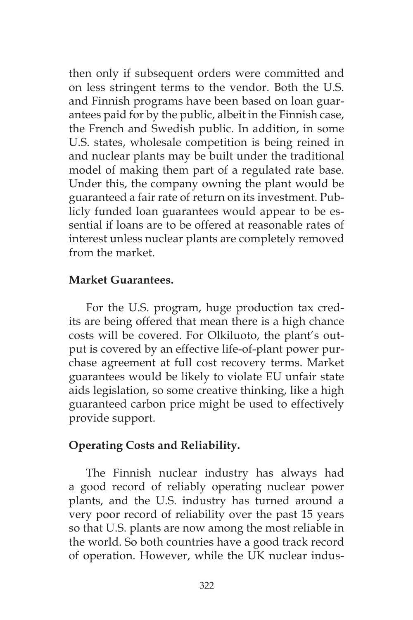then only if subsequent orders were committed and on less stringent terms to the vendor. Both the U.S. and Finnish programs have been based on loan guarantees paid for by the public, albeit in the Finnish case, the French and Swedish public. In addition, in some U.S. states, wholesale competition is being reined in and nuclear plants may be built under the traditional model of making them part of a regulated rate base. Under this, the company owning the plant would be guaranteed a fair rate of return on its investment. Publicly funded loan guarantees would appear to be essential if loans are to be offered at reasonable rates of interest unless nuclear plants are completely removed from the market.

## **Market Guarantees.**

For the U.S. program, huge production tax credits are being offered that mean there is a high chance costs will be covered. For Olkiluoto, the plant's output is covered by an effective life-of-plant power purchase agreement at full cost recovery terms. Market guarantees would be likely to violate EU unfair state aids legislation, so some creative thinking, like a high guaranteed carbon price might be used to effectively provide support.

## **Operating Costs and Reliability.**

The Finnish nuclear industry has always had a good record of reliably operating nuclear power plants, and the U.S. industry has turned around a very poor record of reliability over the past 15 years so that U.S. plants are now among the most reliable in the world. So both countries have a good track record of operation. However, while the UK nuclear indus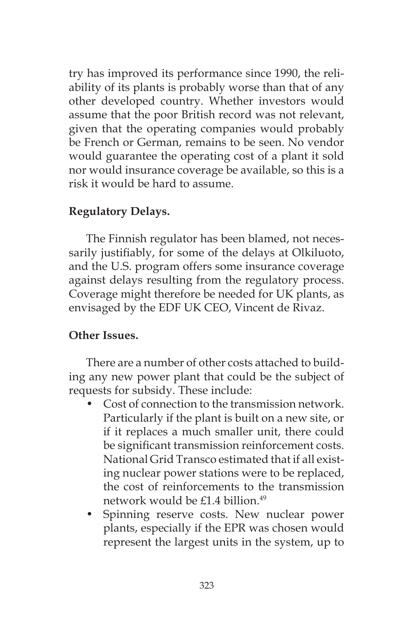try has improved its performance since 1990, the reliability of its plants is probably worse than that of any other developed country. Whether investors would assume that the poor British record was not relevant, given that the operating companies would probably be French or German, remains to be seen. No vendor would guarantee the operating cost of a plant it sold nor would insurance coverage be available, so this is a risk it would be hard to assume.

## **Regulatory Delays.**

The Finnish regulator has been blamed, not necessarily justifiably, for some of the delays at Olkiluoto, and the U.S. program offers some insurance coverage against delays resulting from the regulatory process. Coverage might therefore be needed for UK plants, as envisaged by the EDF UK CEO, Vincent de Rivaz.

## **Other Issues.**

There are a number of other costs attached to building any new power plant that could be the subject of requests for subsidy. These include:

- Cost of connection to the transmission network. Particularly if the plant is built on a new site, or if it replaces a much smaller unit, there could be significant transmission reinforcement costs. National Grid Transco estimated that if all existing nuclear power stations were to be replaced, the cost of reinforcements to the transmission network would be £1.4 billion.<sup>49</sup>
- Spinning reserve costs. New nuclear power plants, especially if the EPR was chosen would represent the largest units in the system, up to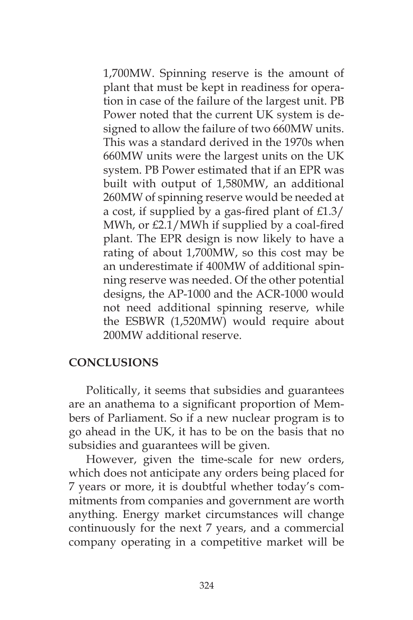1,700MW. Spinning reserve is the amount of plant that must be kept in readiness for operation in case of the failure of the largest unit. PB Power noted that the current UK system is designed to allow the failure of two 660MW units. This was a standard derived in the 1970s when 660MW units were the largest units on the UK system. PB Power estimated that if an EPR was built with output of 1,580MW, an additional 260MW of spinning reserve would be needed at a cost, if supplied by a gas-fired plant of £1.3/ MWh, or £2.1/MWh if supplied by a coal-fired plant. The EPR design is now likely to have a rating of about 1,700MW, so this cost may be an underestimate if 400MW of additional spinning reserve was needed. Of the other potential designs, the AP-1000 and the ACR-1000 would not need additional spinning reserve, while the ESBWR (1,520MW) would require about 200MW additional reserve.

## **CONCLUSIONS**

Politically, it seems that subsidies and guarantees are an anathema to a significant proportion of Members of Parliament. So if a new nuclear program is to go ahead in the UK, it has to be on the basis that no subsidies and guarantees will be given.

However, given the time-scale for new orders, which does not anticipate any orders being placed for 7 years or more, it is doubtful whether today's commitments from companies and government are worth anything. Energy market circumstances will change continuously for the next 7 years, and a commercial company operating in a competitive market will be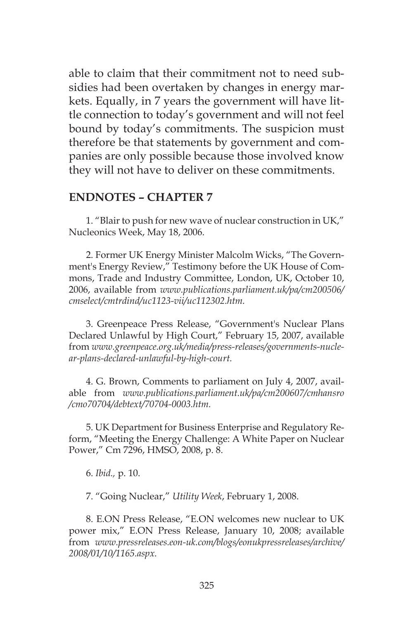able to claim that their commitment not to need subsidies had been overtaken by changes in energy markets. Equally, in 7 years the government will have little connection to today's government and will not feel bound by today's commitments. The suspicion must therefore be that statements by government and companies are only possible because those involved know they will not have to deliver on these commitments.

#### **ENDNOTES – CHAPTER 7**

1. "Blair to push for new wave of nuclear construction in UK," Nucleonics Week, May 18, 2006.

2. Former UK Energy Minister Malcolm Wicks, "The Government's Energy Review," Testimony before the UK House of Commons, Trade and Industry Committee, London, UK, October 10, 2006, available from *www.publications.parliament.uk/pa/cm200506/ cmselect/cmtrdind/uc1123-vii/uc112302.htm.*

3. Greenpeace Press Release, "Government's Nuclear Plans Declared Unlawful by High Court," February 15, 2007, available from *www.greenpeace.org.uk/media/press-releases/governments-nuclear-plans-declared-unlawful-by-high-court.*

4. G. Brown, Comments to parliament on July 4, 2007, available from *www.publications.parliament.uk/pa/cm200607/cmhansro /cmo70704/debtext/70704-0003.htm.*

5. UK Department for Business Enterprise and Regulatory Reform, "Meeting the Energy Challenge: A White Paper on Nuclear Power," Cm 7296, HMSO, 2008, p. 8.

6. *Ibid.,* p. 10.

7. "Going Nuclear," *Utility Week*, February 1, 2008.

8. E.ON Press Release, "E.ON welcomes new nuclear to UK power mix," E.ON Press Release, January 10, 2008; available from *www.pressreleases.eon-uk.com/blogs/eonukpressreleases/archive/ 2008/01/10/1165.aspx.*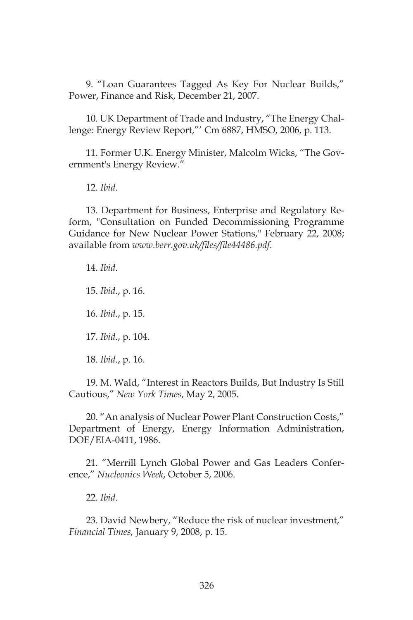9. "Loan Guarantees Tagged As Key For Nuclear Builds," Power, Finance and Risk, December 21, 2007.

10. UK Department of Trade and Industry, "The Energy Challenge: Energy Review Report,"' Cm 6887, HMSO, 2006, p. 113.

11. Former U.K. Energy Minister, Malcolm Wicks, "The Government's Energy Review."

12. *Ibid*.

13. Department for Business, Enterprise and Regulatory Reform, "Consultation on Funded Decommissioning Programme Guidance for New Nuclear Power Stations," February 22, 2008; available from *www.berr.gov.uk/files/file44486.pdf.*

14. *Ibid*. 15. *Ibid*., p. 16. 16. *Ibid*., p. 15. 17. *Ibid*., p. 104.

18. *Ibid*., p. 16.

19. M. Wald, "Interest in Reactors Builds, But Industry Is Still Cautious," *New York Times*, May 2, 2005.

20. "An analysis of Nuclear Power Plant Construction Costs," Department of Energy, Energy Information Administration, DOE/EIA-0411, 1986.

21. "Merrill Lynch Global Power and Gas Leaders Conference," *Nucleonics Week*, October 5, 2006.

22. *Ibid*.

23. David Newbery, "Reduce the risk of nuclear investment," *Financial Times,* January 9, 2008, p. 15.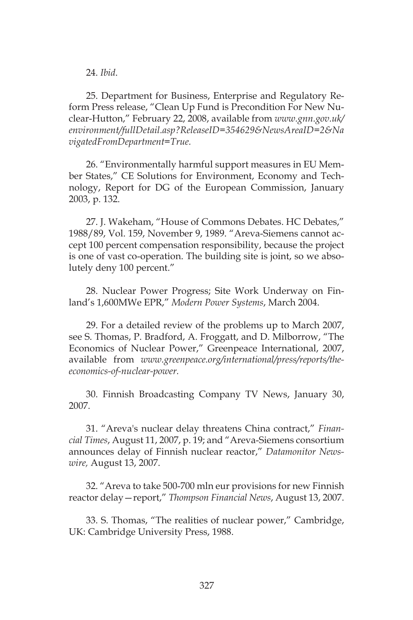#### 24. *Ibid*.

25. Department for Business, Enterprise and Regulatory Reform Press release, "Clean Up Fund is Precondition For New Nuclear-Hutton," February 22, 2008, available from *www.gnn.gov.uk/ environment/fullDetail.asp?ReleaseID=354629&NewsAreaID=2&Na vigatedFromDepartment=True.*

26. "Environmentally harmful support measures in EU Member States," CE Solutions for Environment, Economy and Technology, Report for DG of the European Commission, January 2003, p. 132.

27. J. Wakeham, "House of Commons Debates. HC Debates," 1988/89, Vol. 159, November 9, 1989. "Areva-Siemens cannot accept 100 percent compensation responsibility, because the project is one of vast co-operation. The building site is joint, so we absolutely deny 100 percent."

28. Nuclear Power Progress; Site Work Underway on Finland's 1,600MWe EPR," *Modern Power Systems*, March 2004.

29. For a detailed review of the problems up to March 2007, see S. Thomas, P. Bradford, A. Froggatt, and D. Milborrow, "The Economics of Nuclear Power," Greenpeace International, 2007, available from *www.greenpeace.org/international/press/reports/theeconomics-of-nuclear-power.*

30. Finnish Broadcasting Company TV News, January 30, 2007.

31. "Areva's nuclear delay threatens China contract," *Financial Times*, August 11, 2007, p. 19; and "Areva-Siemens consortium announces delay of Finnish nuclear reactor," *Datamonitor Newswire,* August 13, 2007.

32. "Areva to take 500-700 mln eur provisions for new Finnish reactor delay—report," *Thompson Financial News*, August 13, 2007.

33. S. Thomas, "The realities of nuclear power," Cambridge, UK: Cambridge University Press, 1988.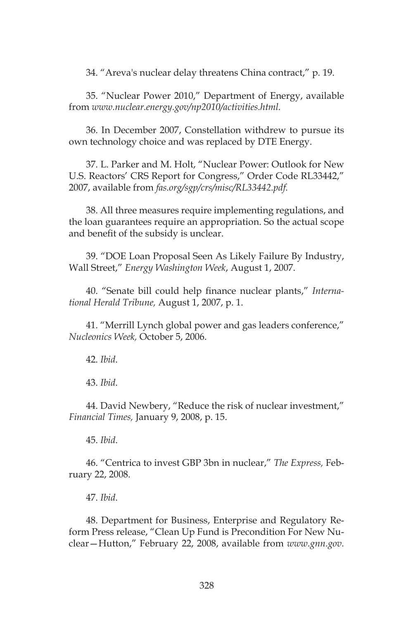34. "Areva's nuclear delay threatens China contract," p. 19.

35. "Nuclear Power 2010," Department of Energy, available from *www.nuclear.energy.gov/np2010/activities.html.*

36. In December 2007, Constellation withdrew to pursue its own technology choice and was replaced by DTE Energy.

37. L. Parker and M. Holt, "Nuclear Power: Outlook for New U.S. Reactors' CRS Report for Congress," Order Code RL33442," 2007, available from *fas.org/sgp/crs/misc/RL33442.pdf.*

38. All three measures require implementing regulations, and the loan guarantees require an appropriation. So the actual scope and benefit of the subsidy is unclear.

39. "DOE Loan Proposal Seen As Likely Failure By Industry, Wall Street," *Energy Washington Week*, August 1, 2007.

40. "Senate bill could help finance nuclear plants," *International Herald Tribune,* August 1, 2007, p. 1.

41. "Merrill Lynch global power and gas leaders conference," *Nucleonics Week,* October 5, 2006.

42. *Ibid*.

43. *Ibid*.

44. David Newbery, "Reduce the risk of nuclear investment," *Financial Times,* January 9, 2008, p. 15.

45. *Ibid*.

46. "Centrica to invest GBP 3bn in nuclear," *The Express,* February 22, 2008.

47. *Ibid*.

48. Department for Business, Enterprise and Regulatory Reform Press release, "Clean Up Fund is Precondition For New Nuclear—Hutton," February 22, 2008, available from *www.gnn.gov.*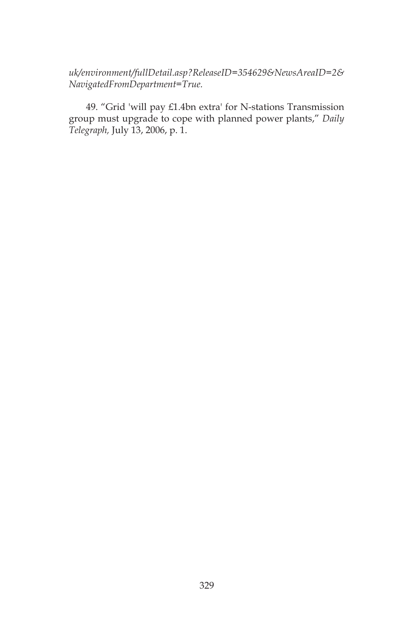*uk/environment/fullDetail.asp?ReleaseID=354629&NewsAreaID=2& NavigatedFromDepartment=True.*

49. "Grid 'will pay £1.4bn extra' for N-stations Transmission group must upgrade to cope with planned power plants," *Daily Telegraph,* July 13, 2006, p. 1.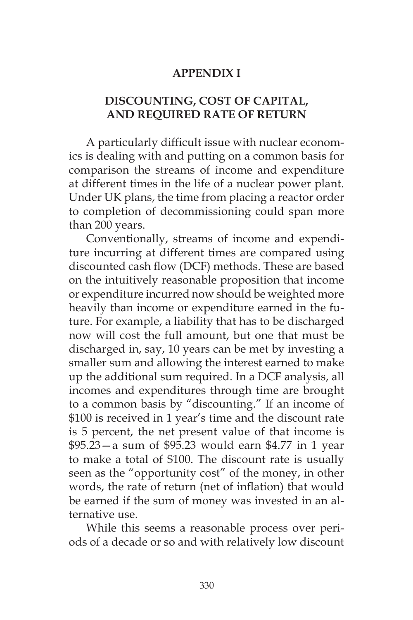#### **APPENDIX I**

## **DISCOUNTING, COST OF CAPITAL, AND REQUIRED RATE OF RETURN**

A particularly difficult issue with nuclear economics is dealing with and putting on a common basis for comparison the streams of income and expenditure at different times in the life of a nuclear power plant. Under UK plans, the time from placing a reactor order to completion of decommissioning could span more than 200 years.

Conventionally, streams of income and expenditure incurring at different times are compared using discounted cash flow (DCF) methods. These are based on the intuitively reasonable proposition that income or expenditure incurred now should be weighted more heavily than income or expenditure earned in the future. For example, a liability that has to be discharged now will cost the full amount, but one that must be discharged in, say, 10 years can be met by investing a smaller sum and allowing the interest earned to make up the additional sum required. In a DCF analysis, all incomes and expenditures through time are brought to a common basis by "discounting." If an income of \$100 is received in 1 year's time and the discount rate is 5 percent, the net present value of that income is \$95.23—a sum of \$95.23 would earn \$4.77 in 1 year to make a total of \$100. The discount rate is usually seen as the "opportunity cost" of the money, in other words, the rate of return (net of inflation) that would be earned if the sum of money was invested in an alternative use.

While this seems a reasonable process over periods of a decade or so and with relatively low discount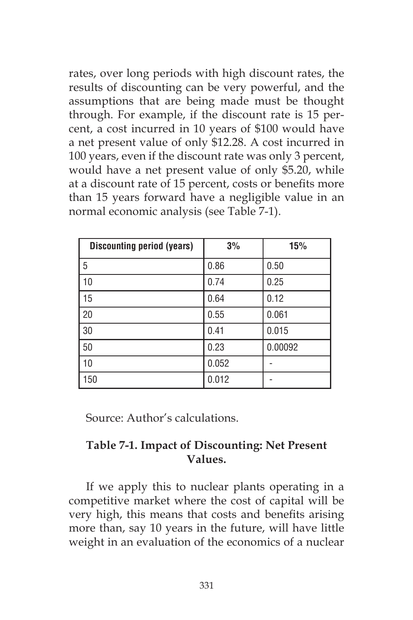rates, over long periods with high discount rates, the results of discounting can be very powerful, and the assumptions that are being made must be thought through. For example, if the discount rate is 15 percent, a cost incurred in 10 years of \$100 would have a net present value of only \$12.28. A cost incurred in 100 years, even if the discount rate was only 3 percent, would have a net present value of only \$5.20, while at a discount rate of 15 percent, costs or benefits more than 15 years forward have a negligible value in an normal economic analysis (see Table 7-1).

| <b>Discounting period (years)</b> | 3%    | 15%     |
|-----------------------------------|-------|---------|
| 5                                 | 0.86  | 0.50    |
| 10                                | 0.74  | 0.25    |
| 15                                | 0.64  | 0.12    |
| 20                                | 0.55  | 0.061   |
| 30                                | 0.41  | 0.015   |
| 50                                | 0.23  | 0.00092 |
| 10                                | 0.052 |         |
| 150                               | 0.012 |         |

Source: Author's calculations.

# **Table 7-1. Impact of Discounting: Net Present Values.**

If we apply this to nuclear plants operating in a competitive market where the cost of capital will be very high, this means that costs and benefits arising more than, say 10 years in the future, will have little weight in an evaluation of the economics of a nuclear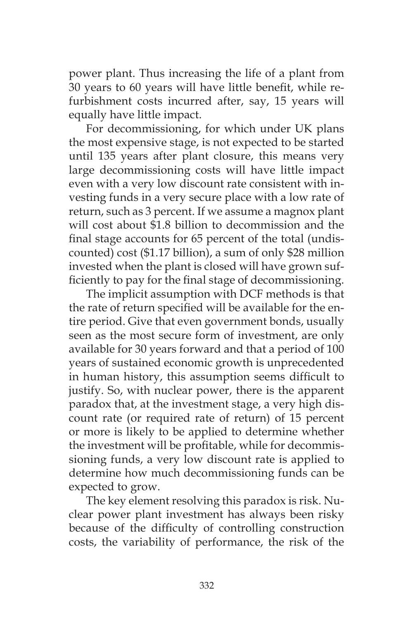power plant. Thus increasing the life of a plant from 30 years to 60 years will have little benefit, while refurbishment costs incurred after, say, 15 years will equally have little impact.

For decommissioning, for which under UK plans the most expensive stage, is not expected to be started until 135 years after plant closure, this means very large decommissioning costs will have little impact even with a very low discount rate consistent with investing funds in a very secure place with a low rate of return, such as 3 percent. If we assume a magnox plant will cost about \$1.8 billion to decommission and the final stage accounts for 65 percent of the total (undiscounted) cost (\$1.17 billion), a sum of only \$28 million invested when the plant is closed will have grown sufficiently to pay for the final stage of decommissioning.

The implicit assumption with DCF methods is that the rate of return specified will be available for the entire period. Give that even government bonds, usually seen as the most secure form of investment, are only available for 30 years forward and that a period of 100 years of sustained economic growth is unprecedented in human history, this assumption seems difficult to justify. So, with nuclear power, there is the apparent paradox that, at the investment stage, a very high discount rate (or required rate of return) of 15 percent or more is likely to be applied to determine whether the investment will be profitable, while for decommissioning funds, a very low discount rate is applied to determine how much decommissioning funds can be expected to grow.

The key element resolving this paradox is risk. Nuclear power plant investment has always been risky because of the difficulty of controlling construction costs, the variability of performance, the risk of the